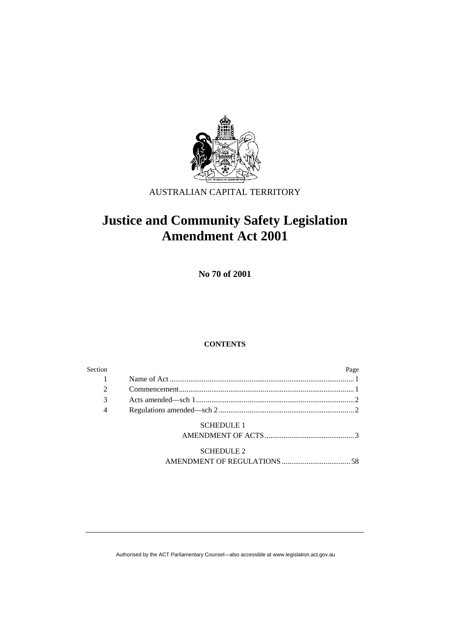

AUSTRALIAN CAPITAL TERRITORY

# **Justice and Community Safety Legislation Amendment Act 2001**

**No 70 of 2001** 

# **CONTENTS**

| Section        |                   |  |
|----------------|-------------------|--|
|                |                   |  |
|                |                   |  |
| 3              |                   |  |
| $\overline{4}$ |                   |  |
|                | <b>SCHEDULE 1</b> |  |
|                |                   |  |

 SCHEDULE 2 AMENDMENT OF REGULATIONS .................................... 58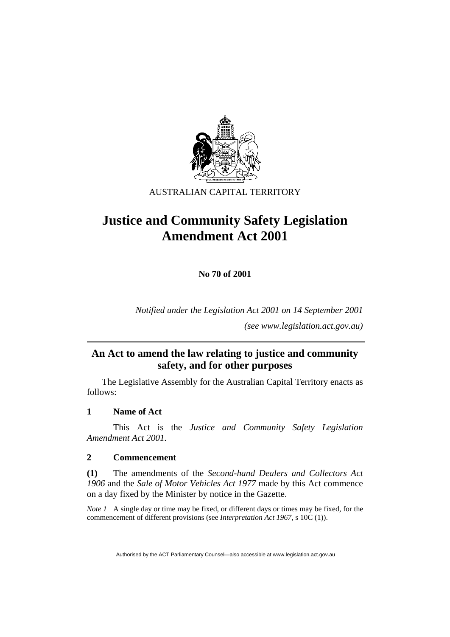

# AUSTRALIAN CAPITAL TERRITORY

# **Justice and Community Safety Legislation Amendment Act 2001**

**No 70 of 2001** 

*Notified under the Legislation Act 2001 on 14 September 2001* 

*(see www.legislation.act.gov.au)* 

# **An Act to amend the law relating to justice and community safety, and for other purposes**

 The Legislative Assembly for the Australian Capital Territory enacts as follows:

# **1 Name of Act**

 This Act is the *Justice and Community Safety Legislation Amendment Act 2001.*

# **2 Commencement**

**(1)** The amendments of the *Second-hand Dealers and Collectors Act 1906* and the *Sale of Motor Vehicles Act 1977* made by this Act commence on a day fixed by the Minister by notice in the Gazette.

*Note 1* A single day or time may be fixed, or different days or times may be fixed, for the commencement of different provisions (see *Interpretation Act 1967*, s 10C (1)).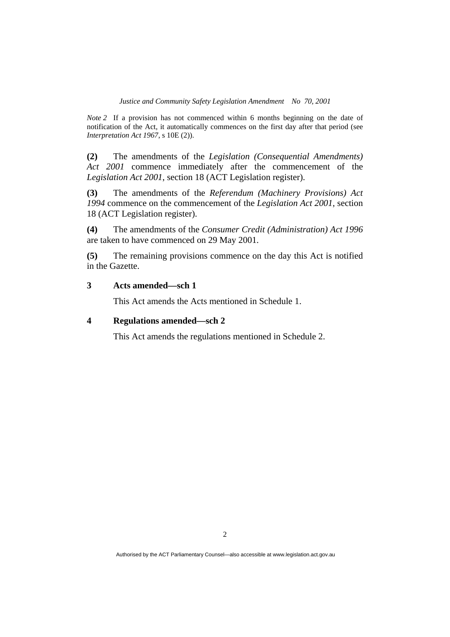*Note 2* If a provision has not commenced within 6 months beginning on the date of notification of the Act, it automatically commences on the first day after that period (see *Interpretation Act 1967*, s 10E (2)).

**(2)** The amendments of the *Legislation (Consequential Amendments) Act 2001* commence immediately after the commencement of the *Legislation Act 2001*, section 18 (ACT Legislation register).

**(3)** The amendments of the *Referendum (Machinery Provisions) Act 1994* commence on the commencement of the *Legislation Act 2001*, section 18 (ACT Legislation register).

**(4)** The amendments of the *Consumer Credit (Administration) Act 1996*  are taken to have commenced on 29 May 2001.

**(5)** The remaining provisions commence on the day this Act is notified in the Gazette.

# **3 Acts amended—sch 1**

This Act amends the Acts mentioned in Schedule 1.

# **4 Regulations amended—sch 2**

This Act amends the regulations mentioned in Schedule 2.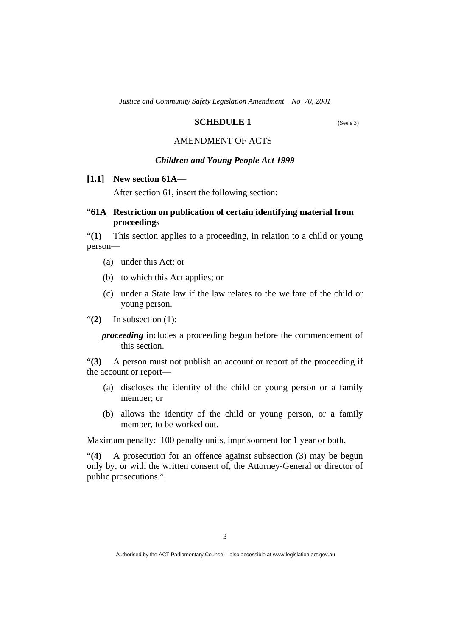# **SCHEDULE 1** (See s 3)

# AMENDMENT OF ACTS

#### *Children and Young People Act 1999*

# **[1.1] New section 61A—**

After section 61, insert the following section:

# "**61A Restriction on publication of certain identifying material from proceedings**

"**(1)** This section applies to a proceeding, in relation to a child or young person—

- (a) under this Act; or
- (b) to which this Act applies; or
- (c) under a State law if the law relates to the welfare of the child or young person.

"**(2)** In subsection (1):

*proceeding* includes a proceeding begun before the commencement of this section.

"**(3)** A person must not publish an account or report of the proceeding if the account or report—

- (a) discloses the identity of the child or young person or a family member; or
- (b) allows the identity of the child or young person, or a family member, to be worked out.

Maximum penalty: 100 penalty units, imprisonment for 1 year or both.

"**(4)** A prosecution for an offence against subsection (3) may be begun only by, or with the written consent of, the Attorney-General or director of public prosecutions.".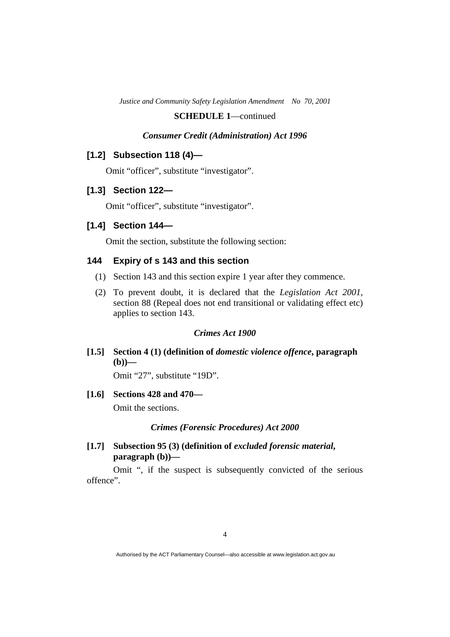### *Consumer Credit (Administration) Act 1996*

# **[1.2] Subsection 118 (4)—**

Omit "officer", substitute "investigator".

# **[1.3] Section 122—**

Omit "officer", substitute "investigator".

# **[1.4] Section 144—**

Omit the section, substitute the following section:

# **144 Expiry of s 143 and this section**

- (1) Section 143 and this section expire 1 year after they commence.
- (2) To prevent doubt, it is declared that the *Legislation Act 2001*, section 88 (Repeal does not end transitional or validating effect etc) applies to section 143.

#### *Crimes Act 1900*

 **[1.5] Section 4 (1) (definition of** *domestic violence offence***, paragraph —** 

Omit "27", substitute "19D".

### **[1.6] Sections 428 and 470—**

Omit the sections.

### *Crimes (Forensic Procedures) Act 2000*

 **[1.7] Subsection 95 (3) (definition of** *excluded forensic material***, paragraph (b))—** 

 Omit ", if the suspect is subsequently convicted of the serious offence".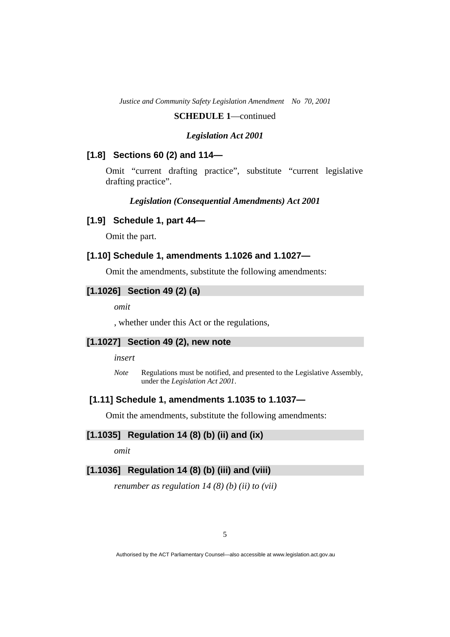### **SCHEDULE 1**—continued

### *Legislation Act 2001*

### **[1.8] Sections 60 (2) and 114—**

Omit "current drafting practice", substitute "current legislative drafting practice".

### *Legislation (Consequential Amendments) Act 2001*

### **[1.9] Schedule 1, part 44—**

Omit the part.

# **[1.10] Schedule 1, amendments 1.1026 and 1.1027—**

Omit the amendments, substitute the following amendments:

# **[1.1026] Section 49 (2) (a)**

*omit* 

, whether under this Act or the regulations,

### **[1.1027] Section 49 (2), new note**

*insert* 

*Note* Regulations must be notified, and presented to the Legislative Assembly, under the *Legislation Act 2001*.

### **[1.11]Schedule 1, amendments 1.1035 to 1.1037—**

Omit the amendments, substitute the following amendments:

# **[1.1035] Regulation 14 (8) (b) (ii) and (ix)**

*omit* 

# **[1.1036] Regulation 14 (8) (b) (iii) and (viii)**

*renumber as regulation 14 (8) (b) (ii) to (vii)*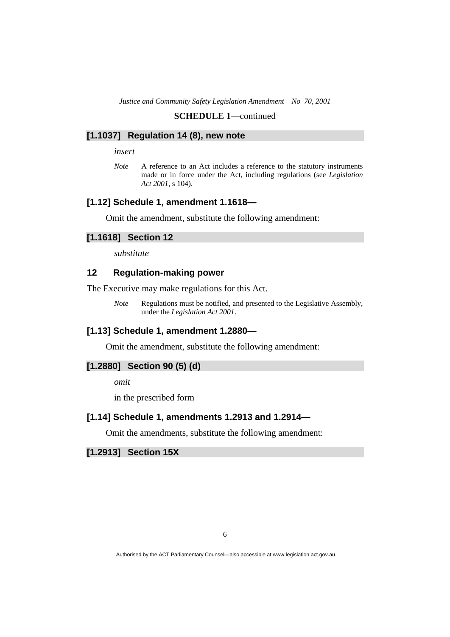#### **[1.1037] Regulation 14 (8), new note**

*insert* 

*Note* A reference to an Act includes a reference to the statutory instruments made or in force under the Act, including regulations (see *Legislation Act 2001*, s 104).

#### **[1.12] Schedule 1, amendment 1.1618—**

Omit the amendment, substitute the following amendment:

#### **[1.1618] Section 12**

*substitute* 

### **12 Regulation-making power**

The Executive may make regulations for this Act.

*Note* Regulations must be notified, and presented to the Legislative Assembly, under the *Legislation Act 2001*.

# **[1.13] Schedule 1, amendment 1.2880—**

Omit the amendment, substitute the following amendment:

# **[1.2880] Section 90 (5) (d)**

*omit* 

in the prescribed form

### **[1.14] Schedule 1, amendments 1.2913 and 1.2914—**

Omit the amendments, substitute the following amendment:

**[1.2913] Section 15X**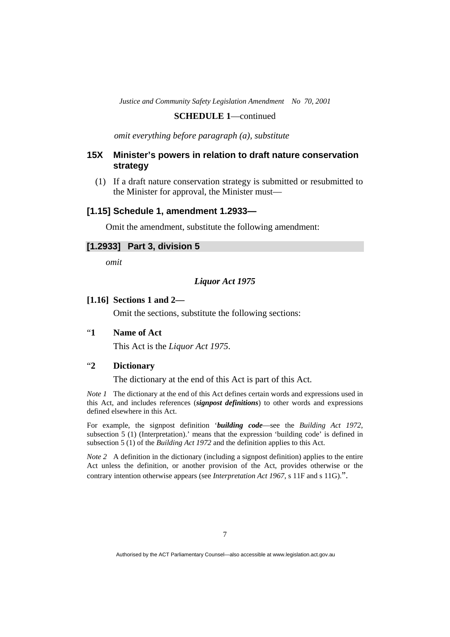### **SCHEDULE 1**—continued

*omit everything before paragraph (a), substitute* 

# **15X Minister's powers in relation to draft nature conservation strategy**

 (1) If a draft nature conservation strategy is submitted or resubmitted to the Minister for approval, the Minister must—

# **[1.15] Schedule 1, amendment 1.2933—**

Omit the amendment, substitute the following amendment:

### **[1.2933] Part 3, division 5**

*omit* 

### *Liquor Act 1975*

#### **[1.16] Sections 1 and 2—**

Omit the sections, substitute the following sections:

# "**1 Name of Act**

This Act is the *Liquor Act 1975*.

# "**2 Dictionary**

The dictionary at the end of this Act is part of this Act.

*Note 1* The dictionary at the end of this Act defines certain words and expressions used in this Act, and includes references (*signpost definitions*) to other words and expressions defined elsewhere in this Act.

For example, the signpost definition '*building code*—see the *Building Act 1972*, subsection 5 (1) (Interpretation).' means that the expression 'building code' is defined in subsection 5 (1) of the *Building Act 1972* and the definition applies to this Act.

*Note 2* A definition in the dictionary (including a signpost definition) applies to the entire Act unless the definition, or another provision of the Act, provides otherwise or the contrary intention otherwise appears (see *Interpretation Act 1967*, s 11F and s 11G).".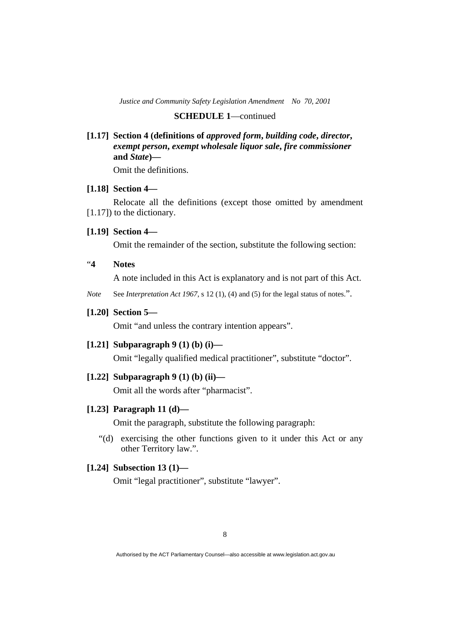### **SCHEDULE 1**—continued

 **[1.17] Section 4 (definitions of** *approved form***,** *building code***,** *director***,**  *exempt person***,** *exempt wholesale liquor sale***,** *fire commissioner* **and** *State***)—** 

Omit the definitions.

### **[1.18] Section 4—**

 Relocate all the definitions (except those omitted by amendment [1.17]) to the dictionary.

### **[1.19] Section 4—**

Omit the remainder of the section, substitute the following section:

"**4 Notes** 

A note included in this Act is explanatory and is not part of this Act.

*Note* See *Interpretation Act 1967*, s 12 (1), (4) and (5) for the legal status of notes.".

### **[1.20] Section 5—**

Omit "and unless the contrary intention appears".

# **[1.21] Subparagraph 9 (1) (b) (i)—**

Omit "legally qualified medical practitioner", substitute "doctor".

# **[1.22] Subparagraph 9 (1) (b) (ii)—**

Omit all the words after "pharmacist".

#### **[1.23] Paragraph 11 (d)—**

Omit the paragraph, substitute the following paragraph:

 "(d) exercising the other functions given to it under this Act or any other Territory law.".

# **[1.24] Subsection 13 (1)—**

Omit "legal practitioner", substitute "lawyer".

Authorised by the ACT Parliamentary Counsel—also accessible at www.legislation.act.gov.au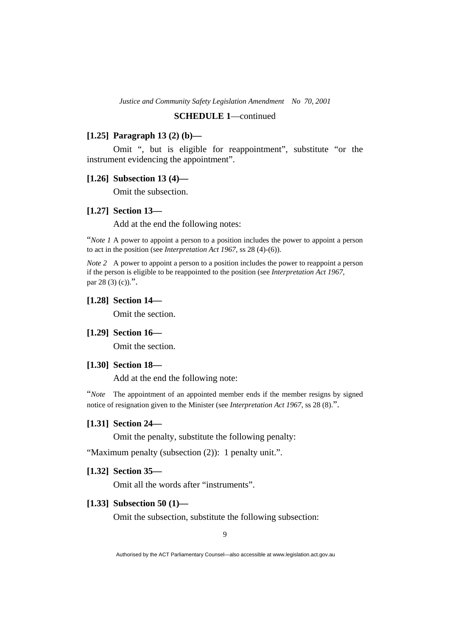# **SCHEDULE 1**—continued

### **[1.25] Paragraph 13 (2) (b)—**

 Omit ", but is eligible for reappointment", substitute "or the instrument evidencing the appointment".

#### **[1.26] Subsection 13 (4)—**

Omit the subsection.

# **[1.27] Section 13—**

Add at the end the following notes:

"*Note 1* A power to appoint a person to a position includes the power to appoint a person to act in the position (see *Interpretation Act 1967*, ss 28 (4)-(6)).

*Note 2* A power to appoint a person to a position includes the power to reappoint a person if the person is eligible to be reappointed to the position (see *Interpretation Act 1967*, par  $28(3)(c)$ .".

### **[1.28] Section 14—**

Omit the section.

# **[1.29] Section 16—**

Omit the section.

#### **[1.30] Section 18—**

Add at the end the following note:

"*Note* The appointment of an appointed member ends if the member resigns by signed notice of resignation given to the Minister (see *Interpretation Act 1967*, ss 28 (8).".

### **[1.31] Section 24—**

Omit the penalty, substitute the following penalty:

"Maximum penalty (subsection (2)): 1 penalty unit.".

#### **[1.32] Section 35—**

Omit all the words after "instruments".

### **[1.33] Subsection 50 (1)—**

Omit the subsection, substitute the following subsection: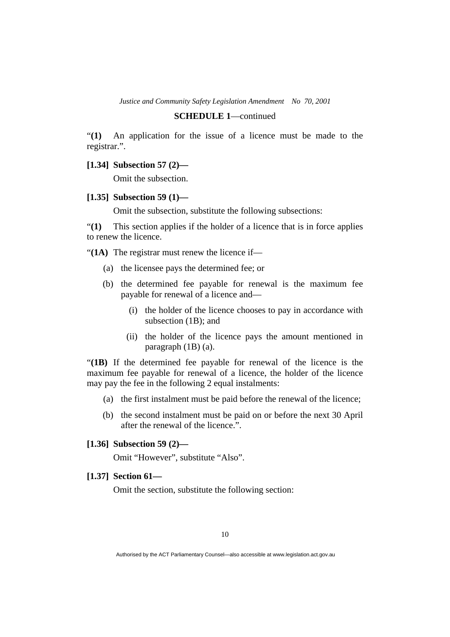#### **SCHEDULE 1**—continued

"**(1)** An application for the issue of a licence must be made to the registrar.".

 **[1.34] Subsection 57 (2)—** 

Omit the subsection.

### **[1.35] Subsection 59 (1)—**

Omit the subsection, substitute the following subsections:

"**(1)** This section applies if the holder of a licence that is in force applies to renew the licence.

"(1A) The registrar must renew the licence if—

- (a) the licensee pays the determined fee; or
- (b) the determined fee payable for renewal is the maximum fee payable for renewal of a licence and—
	- (i) the holder of the licence chooses to pay in accordance with subsection (1B); and
	- (ii) the holder of the licence pays the amount mentioned in paragraph (1B) (a).

"**(1B)** If the determined fee payable for renewal of the licence is the maximum fee payable for renewal of a licence, the holder of the licence may pay the fee in the following 2 equal instalments:

- (a) the first instalment must be paid before the renewal of the licence;
- (b) the second instalment must be paid on or before the next 30 April after the renewal of the licence.".

### **[1.36] Subsection 59 (2)—**

Omit "However", substitute "Also".

 **[1.37] Section 61—** 

Omit the section, substitute the following section: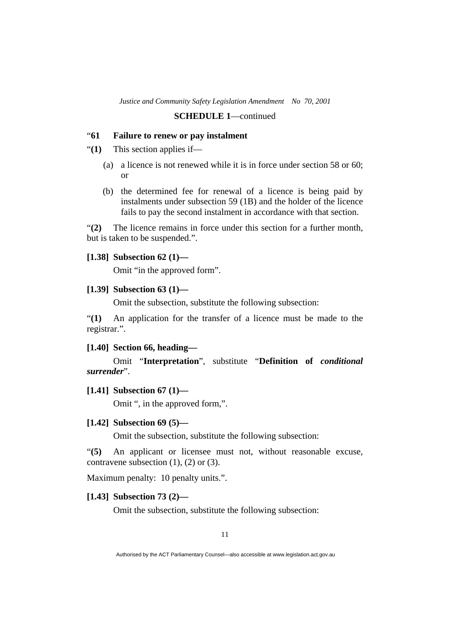### "**61 Failure to renew or pay instalment**

"**(1)** This section applies if—

- (a) a licence is not renewed while it is in force under section 58 or 60; or
- (b) the determined fee for renewal of a licence is being paid by instalments under subsection 59 (1B) and the holder of the licence fails to pay the second instalment in accordance with that section.

"**(2)** The licence remains in force under this section for a further month, but is taken to be suspended.".

### **[1.38] Subsection 62 (1)—**

Omit "in the approved form".

### **[1.39] Subsection 63 (1)—**

Omit the subsection, substitute the following subsection:

"**(1)** An application for the transfer of a licence must be made to the registrar.".

### **[1.40] Section 66, heading—**

 Omit "**Interpretation**", substitute "**Definition of** *conditional surrender*".

# **[1.41] Subsection 67 (1)—**

Omit ", in the approved form,".

#### **[1.42] Subsection 69 (5)—**

Omit the subsection, substitute the following subsection:

"**(5)** An applicant or licensee must not, without reasonable excuse, contravene subsection  $(1)$ ,  $(2)$  or  $(3)$ .

Maximum penalty: 10 penalty units.".

#### **[1.43] Subsection 73 (2)—**

Omit the subsection, substitute the following subsection:

Authorised by the ACT Parliamentary Counsel—also accessible at www.legislation.act.gov.au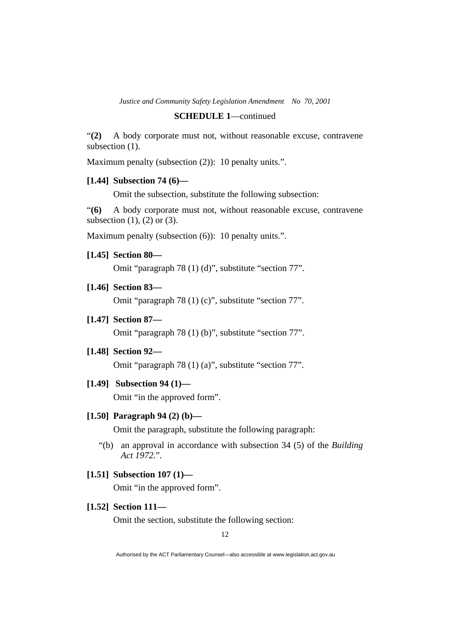#### **SCHEDULE 1**—continued

"**(2)** A body corporate must not, without reasonable excuse, contravene subsection  $(1)$ .

Maximum penalty (subsection (2)): 10 penalty units.".

#### **[1.44] Subsection 74 (6)—**

Omit the subsection, substitute the following subsection:

"**(6)** A body corporate must not, without reasonable excuse, contravene subsection  $(1)$ ,  $(2)$  or  $(3)$ .

Maximum penalty (subsection  $(6)$ ): 10 penalty units.".

 **[1.45] Section 80—** 

Omit "paragraph 78 (1) (d)", substitute "section 77".

 **[1.46] Section 83—** 

Omit "paragraph 78 (1) (c)", substitute "section 77".

 **[1.47] Section 87—** 

Omit "paragraph 78 (1) (b)", substitute "section 77".

# **[1.48] Section 92—**

Omit "paragraph 78 (1) (a)", substitute "section 77".

 **[1.49] Subsection 94 (1)—** 

Omit "in the approved form".

#### **[1.50] Paragraph 94 (2) (b)—**

Omit the paragraph, substitute the following paragraph:

- "(b) an approval in accordance with subsection 34 (5) of the *Building Act 1972*.".
- **[1.51] Subsection 107 (1)—**

Omit "in the approved form".

# **[1.52] Section 111—**

Omit the section, substitute the following section:

12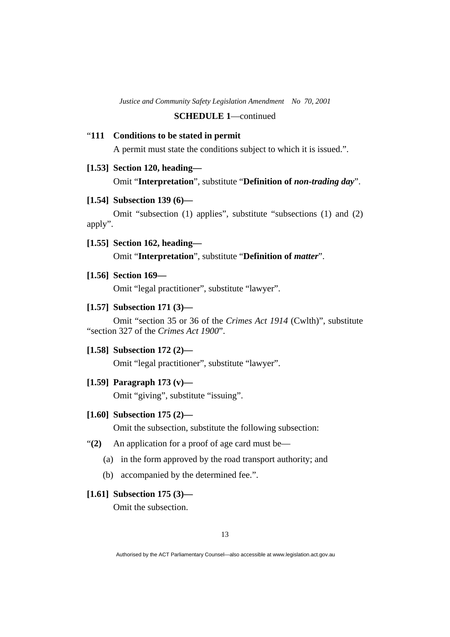# "**111 Conditions to be stated in permit**

A permit must state the conditions subject to which it is issued.".

#### **[1.53] Section 120, heading—**

Omit "**Interpretation**", substitute "**Definition of** *non-trading day*".

#### **[1.54] Subsection 139 (6)—**

 Omit "subsection (1) applies", substitute "subsections (1) and (2) apply".

# **[1.55] Section 162, heading—**

Omit "**Interpretation**", substitute "**Definition of** *matter*".

#### **[1.56] Section 169—**

Omit "legal practitioner", substitute "lawyer".

### **[1.57] Subsection 171 (3)—**

 Omit "section 35 or 36 of the *Crimes Act 1914* (Cwlth)", substitute "section 327 of the *Crimes Act 1900*".

### **[1.58] Subsection 172 (2)—**

Omit "legal practitioner", substitute "lawyer".

### **[1.59] Paragraph 173 (v)—**

Omit "giving", substitute "issuing".

#### **[1.60] Subsection 175 (2)—**

Omit the subsection, substitute the following subsection:

- "**(2)** An application for a proof of age card must be—
	- (a) in the form approved by the road transport authority; and
	- (b) accompanied by the determined fee.".

# **[1.61] Subsection 175 (3)—**

Omit the subsection.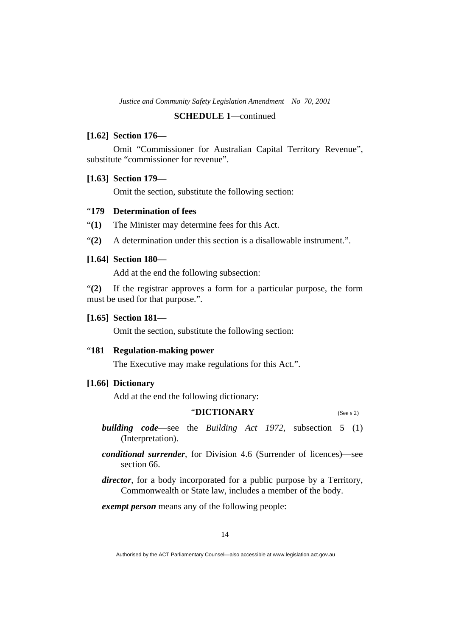# **SCHEDULE 1**—continued

### **[1.62] Section 176—**

 Omit "Commissioner for Australian Capital Territory Revenue", substitute "commissioner for revenue".

### **[1.63] Section 179—**

Omit the section, substitute the following section:

# "**179 Determination of fees**

"**(1)** The Minister may determine fees for this Act.

"**(2)** A determination under this section is a disallowable instrument.".

### **[1.64] Section 180—**

Add at the end the following subsection:

"**(2)** If the registrar approves a form for a particular purpose, the form must be used for that purpose.".

### **[1.65] Section 181—**

Omit the section, substitute the following section:

### "**181 Regulation-making power**

The Executive may make regulations for this Act.".

# **[1.66] Dictionary**

Add at the end the following dictionary:

# "**DICTIONARY** (See s 2)

- *building code*—see the *Building Act 1972*, subsection 5 (1) (Interpretation).
- *conditional surrender*, for Division 4.6 (Surrender of licences)—see section 66.
- *director*, for a body incorporated for a public purpose by a Territory, Commonwealth or State law, includes a member of the body.

*exempt person* means any of the following people:

Authorised by the ACT Parliamentary Counsel—also accessible at www.legislation.act.gov.au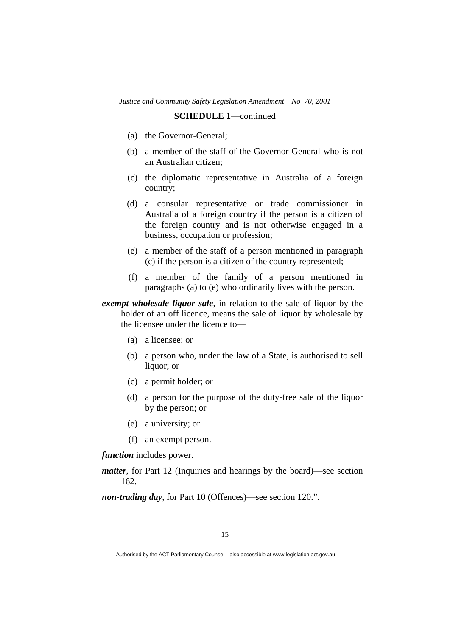- (a) the Governor-General;
- (b) a member of the staff of the Governor-General who is not an Australian citizen;
- (c) the diplomatic representative in Australia of a foreign country;
- (d) a consular representative or trade commissioner in Australia of a foreign country if the person is a citizen of the foreign country and is not otherwise engaged in a business, occupation or profession;
- (e) a member of the staff of a person mentioned in paragraph (c) if the person is a citizen of the country represented;
- (f) a member of the family of a person mentioned in paragraphs (a) to (e) who ordinarily lives with the person.

*exempt wholesale liquor sale*, in relation to the sale of liquor by the holder of an off licence, means the sale of liquor by wholesale by the licensee under the licence to—

- (a) a licensee; or
- (b) a person who, under the law of a State, is authorised to sell liquor; or
- (c) a permit holder; or
- (d) a person for the purpose of the duty-free sale of the liquor by the person; or
- (e) a university; or
- (f) an exempt person.

*function* includes power.

*matter*, for Part 12 (Inquiries and hearings by the board)—see section 162.

*non-trading day*, for Part 10 (Offences)—see section 120.".

Authorised by the ACT Parliamentary Counsel—also accessible at www.legislation.act.gov.au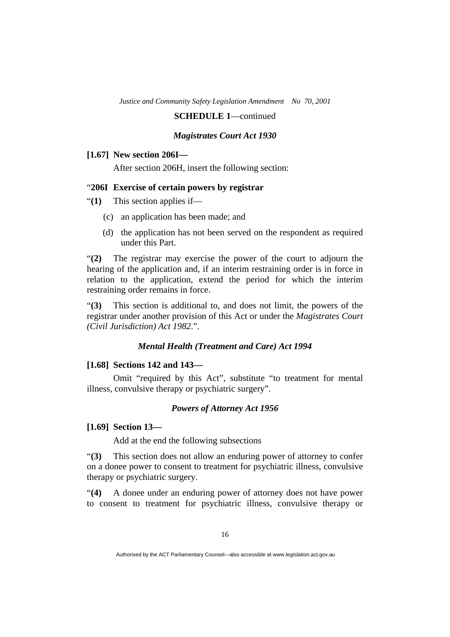**SCHEDULE 1**—continued

### *Magistrates Court Act 1930*

#### **[1.67] New section 206I—**

After section 206H, insert the following section:

# "**206I Exercise of certain powers by registrar**

- "**(1)** This section applies if—
	- (c) an application has been made; and
	- (d) the application has not been served on the respondent as required under this Part.

"**(2)** The registrar may exercise the power of the court to adjourn the hearing of the application and, if an interim restraining order is in force in relation to the application, extend the period for which the interim restraining order remains in force.

"**(3)** This section is additional to, and does not limit, the powers of the registrar under another provision of this Act or under the *Magistrates Court (Civil Jurisdiction) Act 1982*.".

#### *Mental Health (Treatment and Care) Act 1994*

#### **[1.68] Sections 142 and 143—**

 Omit "required by this Act", substitute "to treatment for mental illness, convulsive therapy or psychiatric surgery".

### *Powers of Attorney Act 1956*

#### **[1.69] Section 13—**

Add at the end the following subsections

"**(3)** This section does not allow an enduring power of attorney to confer on a donee power to consent to treatment for psychiatric illness, convulsive therapy or psychiatric surgery.

"**(4)** A donee under an enduring power of attorney does not have power to consent to treatment for psychiatric illness, convulsive therapy or

Authorised by the ACT Parliamentary Counsel—also accessible at www.legislation.act.gov.au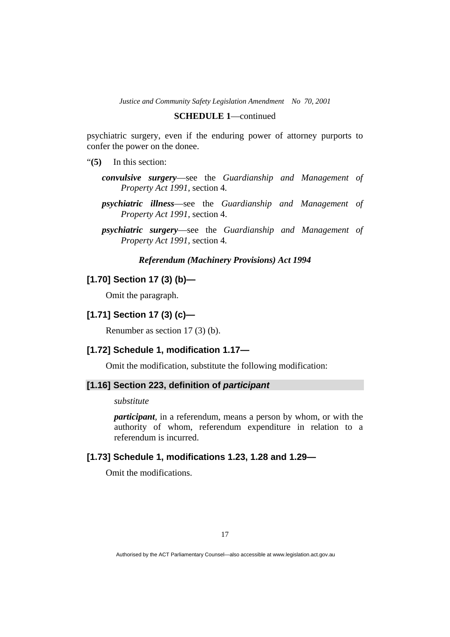#### **SCHEDULE 1**—continued

psychiatric surgery, even if the enduring power of attorney purports to confer the power on the donee.

- "**(5)** In this section:
	- *convulsive surgery*—see the *Guardianship and Management of Property Act 1991,* section 4*.*
	- *psychiatric illness*—see the *Guardianship and Management of Property Act 1991,* section 4.
	- *psychiatric surgery*—see the *Guardianship and Management of Property Act 1991,* section 4*.*

### *Referendum (Machinery Provisions) Act 1994*

# **[1.70] Section 17 (3) (b)—**

Omit the paragraph.

# **[1.71] Section 17 (3) (c)—**

Renumber as section 17 (3) (b).

# **[1.72] Schedule 1, modification 1.17—**

Omit the modification, substitute the following modification:

# **[1.16] Section 223, definition of** *participant*

*substitute* 

*participant*, in a referendum, means a person by whom, or with the authority of whom, referendum expenditure in relation to a referendum is incurred.

# **[1.73] Schedule 1, modifications 1.23, 1.28 and 1.29—**

Omit the modifications.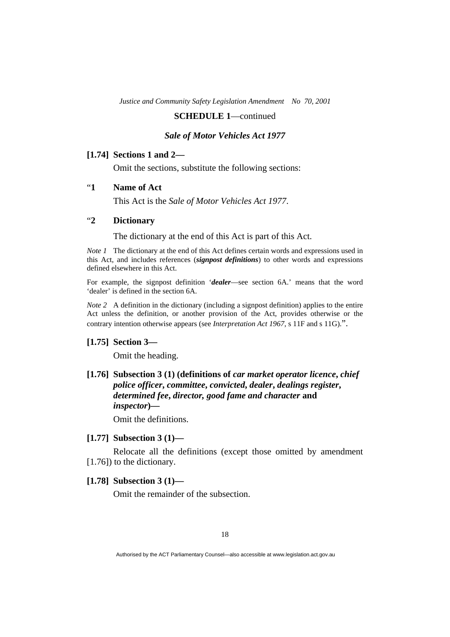### **SCHEDULE 1**—continued

### *Sale of Motor Vehicles Act 1977*

### **[1.74] Sections 1 and 2—**

Omit the sections, substitute the following sections:

# "**1 Name of Act**

This Act is the *Sale of Motor Vehicles Act 1977*.

# "**2 Dictionary**

The dictionary at the end of this Act is part of this Act.

*Note 1* The dictionary at the end of this Act defines certain words and expressions used in this Act, and includes references (*signpost definitions*) to other words and expressions defined elsewhere in this Act.

For example, the signpost definition '*dealer*—see section 6A.' means that the word 'dealer' is defined in the section 6A.

*Note 2* A definition in the dictionary (including a signpost definition) applies to the entire Act unless the definition, or another provision of the Act, provides otherwise or the contrary intention otherwise appears (see *Interpretation Act 1967*, s 11F and s 11G).".

#### **[1.75] Section 3—**

Omit the heading.

# **[1.76] Subsection 3 (1) (definitions of** *car market operator licence***,** *chief police officer***,** *committee***,** *convicted***,** *dealer***,** *dealings register***,**  *determined fee***,** *director, good fame and character* **and**  *inspector***)—**

Omit the definitions.

### **[1.77] Subsection 3 (1)—**

 Relocate all the definitions (except those omitted by amendment [1.76]) to the dictionary.

### **[1.78] Subsection 3 (1)—**

Omit the remainder of the subsection.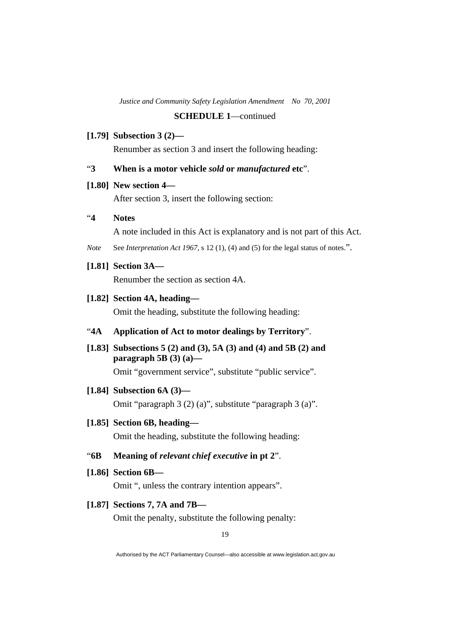# **[1.79] Subsection 3 (2)—**

Renumber as section 3 and insert the following heading:

# "**3 When is a motor vehicle** *sold* **or** *manufactured* **etc**".

### **[1.80] New section 4—**

After section 3, insert the following section:

# "**4 Notes**

A note included in this Act is explanatory and is not part of this Act.

*Note* See *Interpretation Act 1967*, s 12 (1), (4) and (5) for the legal status of notes.".

# **[1.81] Section 3A—**

Renumber the section as section 4A.

### **[1.82] Section 4A, heading—**

Omit the heading, substitute the following heading:

# "**4A Application of Act to motor dealings by Territory**".

 **[1.83] Subsections 5 (2) and (3), 5A (3) and (4) and 5B (2) and paragraph 5B (3) (a)—** 

Omit "government service", substitute "public service".

#### **[1.84] Subsection 6A (3)—**

Omit "paragraph 3 (2) (a)", substitute "paragraph 3 (a)".

# **[1.85] Section 6B, heading—**

Omit the heading, substitute the following heading:

### "**6B Meaning of** *relevant chief executive* **in pt 2**".

 **[1.86] Section 6B—** 

Omit ", unless the contrary intention appears".

### **[1.87] Sections 7, 7A and 7B—**

Omit the penalty, substitute the following penalty: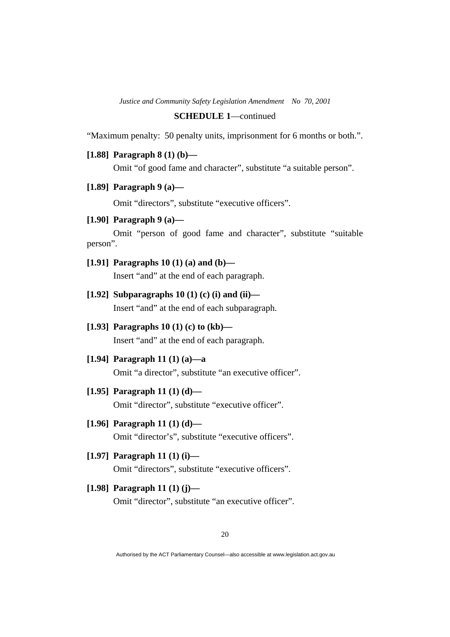### **SCHEDULE 1**—continued

"Maximum penalty: 50 penalty units, imprisonment for 6 months or both.".

 **[1.88] Paragraph 8 (1) (b)—** 

Omit "of good fame and character", substitute "a suitable person".

 **[1.89] Paragraph 9 (a)—** 

Omit "directors", substitute "executive officers".

 **[1.90] Paragraph 9 (a)—** 

 Omit "person of good fame and character", substitute "suitable person".

 **[1.91] Paragraphs 10 (1) (a) and (b)—** 

Insert "and" at the end of each paragraph.

- **[1.92] Subparagraphs 10 (1) (c) (i) and (ii)—**  Insert "and" at the end of each subparagraph.
- **[1.93] Paragraphs 10 (1) (c) to (kb)—**  Insert "and" at the end of each paragraph.
- **[1.94] Paragraph 11 (1) (a)—a**  Omit "a director", substitute "an executive officer".
- **[1.95] Paragraph 11 (1) (d)—**

Omit "director", substitute "executive officer".

- **[1.96] Paragraph 11 (1) (d)—**  Omit "director's", substitute "executive officers".
- **[1.97] Paragraph 11 (1) (i)—**  Omit "directors", substitute "executive officers".
- **[1.98] Paragraph 11 (1) (j)—**  Omit "director", substitute "an executive officer".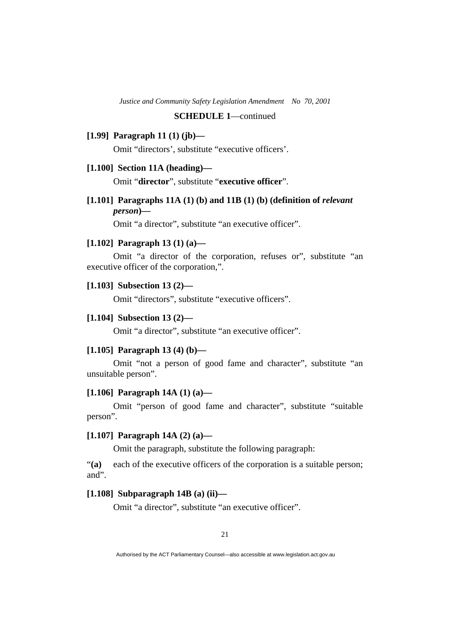### **SCHEDULE 1**—continued

# **[1.99] Paragraph 11 (1) (jb)—**

Omit "directors', substitute "executive officers'.

### **[1.100] Section 11A (heading)—**

Omit "**director**", substitute "**executive officer**".

 **[1.101] Paragraphs 11A (1) (b) and 11B (1) (b) (definition of** *relevant person***)—** 

Omit "a director", substitute "an executive officer".

# **[1.102] Paragraph 13 (1) (a)—**

 Omit "a director of the corporation, refuses or", substitute "an executive officer of the corporation,".

### **[1.103] Subsection 13 (2)—**

Omit "directors", substitute "executive officers".

### **[1.104] Subsection 13 (2)—**

Omit "a director", substitute "an executive officer".

#### **[1.105] Paragraph 13 (4) (b)—**

 Omit "not a person of good fame and character", substitute "an unsuitable person".

### **[1.106] Paragraph 14A (1) (a)—**

 Omit "person of good fame and character", substitute "suitable person".

### **[1.107] Paragraph 14A (2) (a)—**

Omit the paragraph, substitute the following paragraph:

"**(a)** each of the executive officers of the corporation is a suitable person; and".

### **[1.108] Subparagraph 14B (a) (ii)—**

Omit "a director", substitute "an executive officer".

Authorised by the ACT Parliamentary Counsel—also accessible at www.legislation.act.gov.au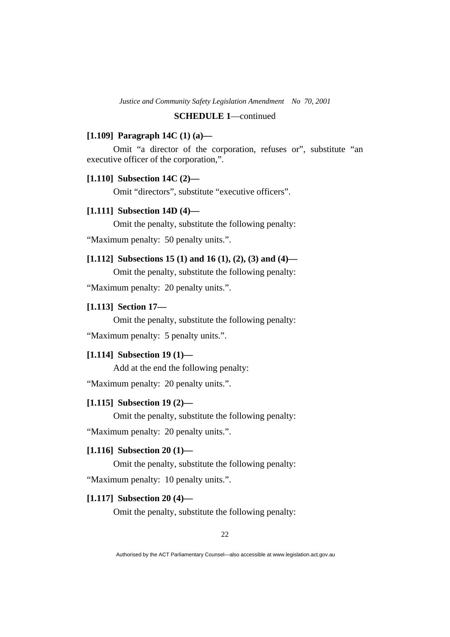# **SCHEDULE 1**—continued

### **[1.109] Paragraph 14C (1) (a)—**

 Omit "a director of the corporation, refuses or", substitute "an executive officer of the corporation,".

# **[1.110] Subsection 14C (2)—**

Omit "directors", substitute "executive officers".

# **[1.111] Subsection 14D (4)—**

Omit the penalty, substitute the following penalty:

"Maximum penalty: 50 penalty units.".

### **[1.112] Subsections 15 (1) and 16 (1), (2), (3) and (4)—**

Omit the penalty, substitute the following penalty:

"Maximum penalty: 20 penalty units.".

# **[1.113] Section 17—**

Omit the penalty, substitute the following penalty:

"Maximum penalty: 5 penalty units.".

# **[1.114] Subsection 19 (1)—**

Add at the end the following penalty:

"Maximum penalty: 20 penalty units.".

# **[1.115] Subsection 19 (2)—**

Omit the penalty, substitute the following penalty:

"Maximum penalty: 20 penalty units.".

# **[1.116] Subsection 20 (1)—**

Omit the penalty, substitute the following penalty:

"Maximum penalty: 10 penalty units.".

### **[1.117] Subsection 20 (4)—**

Omit the penalty, substitute the following penalty: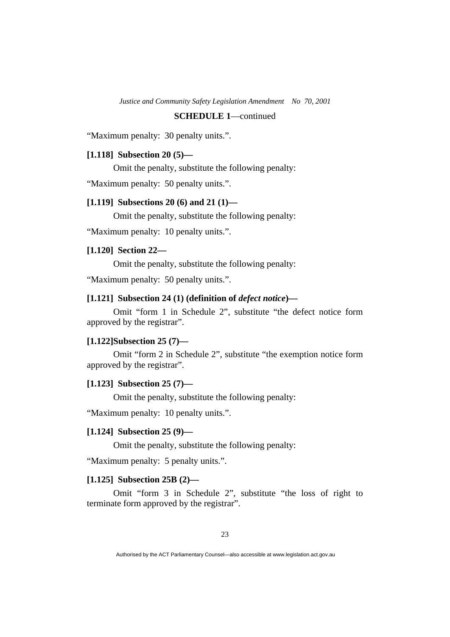# **SCHEDULE 1**—continued

"Maximum penalty: 30 penalty units.".

### **[1.118] Subsection 20 (5)—**

Omit the penalty, substitute the following penalty:

"Maximum penalty: 50 penalty units.".

### **[1.119] Subsections 20 (6) and 21 (1)—**

Omit the penalty, substitute the following penalty:

"Maximum penalty: 10 penalty units.".

### **[1.120] Section 22—**

Omit the penalty, substitute the following penalty:

"Maximum penalty: 50 penalty units.".

# **[1.121] Subsection 24 (1) (definition of** *defect notice***)—**

 Omit "form 1 in Schedule 2", substitute "the defect notice form approved by the registrar".

#### **[1.122]Subsection 25 (7)—**

 Omit "form 2 in Schedule 2", substitute "the exemption notice form approved by the registrar".

### **[1.123] Subsection 25 (7)—**

Omit the penalty, substitute the following penalty:

"Maximum penalty: 10 penalty units.".

#### **[1.124] Subsection 25 (9)—**

Omit the penalty, substitute the following penalty:

"Maximum penalty: 5 penalty units.".

# **[1.125] Subsection 25B (2)—**

 Omit "form 3 in Schedule 2", substitute "the loss of right to terminate form approved by the registrar".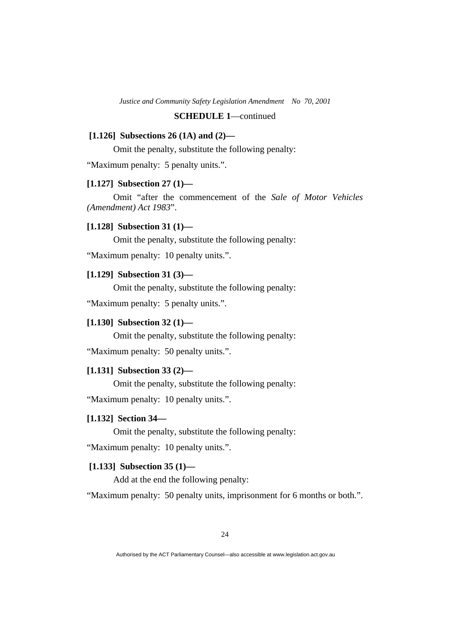# **SCHEDULE 1**—continued

### **[1.126] Subsections 26 (1A) and (2)—**

Omit the penalty, substitute the following penalty:

"Maximum penalty: 5 penalty units.".

### **[1.127] Subsection 27 (1)—**

 Omit "after the commencement of the *Sale of Motor Vehicles (Amendment) Act 1983*".

### **[1.128] Subsection 31 (1)—**

Omit the penalty, substitute the following penalty:

"Maximum penalty: 10 penalty units.".

#### **[1.129] Subsection 31 (3)—**

Omit the penalty, substitute the following penalty:

"Maximum penalty: 5 penalty units.".

# **[1.130] Subsection 32 (1)—**

Omit the penalty, substitute the following penalty:

"Maximum penalty: 50 penalty units.".

# **[1.131] Subsection 33 (2)—**

Omit the penalty, substitute the following penalty:

"Maximum penalty: 10 penalty units.".

### **[1.132] Section 34—**

Omit the penalty, substitute the following penalty:

"Maximum penalty: 10 penalty units.".

# **[1.133] Subsection 35 (1)—**

Add at the end the following penalty:

"Maximum penalty: 50 penalty units, imprisonment for 6 months or both.".

Authorised by the ACT Parliamentary Counsel—also accessible at www.legislation.act.gov.au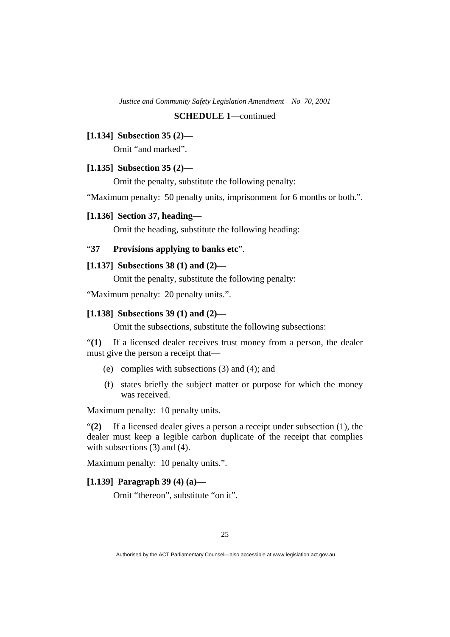### **SCHEDULE 1**—continued

### **[1.134] Subsection 35 (2)—**

Omit "and marked".

### **[1.135] Subsection 35 (2)—**

Omit the penalty, substitute the following penalty:

"Maximum penalty: 50 penalty units, imprisonment for 6 months or both.".

### **[1.136] Section 37, heading—**

Omit the heading, substitute the following heading:

# "**37 Provisions applying to banks etc**".

# **[1.137] Subsections 38 (1) and (2)—**

Omit the penalty, substitute the following penalty:

"Maximum penalty: 20 penalty units.".

### **[1.138] Subsections 39 (1) and (2)—**

Omit the subsections, substitute the following subsections:

"**(1)** If a licensed dealer receives trust money from a person, the dealer must give the person a receipt that—

- (e) complies with subsections (3) and (4); and
- (f) states briefly the subject matter or purpose for which the money was received.

Maximum penalty: 10 penalty units.

"**(2)** If a licensed dealer gives a person a receipt under subsection (1), the dealer must keep a legible carbon duplicate of the receipt that complies with subsections (3) and (4).

Maximum penalty: 10 penalty units.".

# **[1.139] Paragraph 39 (4) (a)—**

Omit "thereon", substitute "on it".

Authorised by the ACT Parliamentary Counsel—also accessible at www.legislation.act.gov.au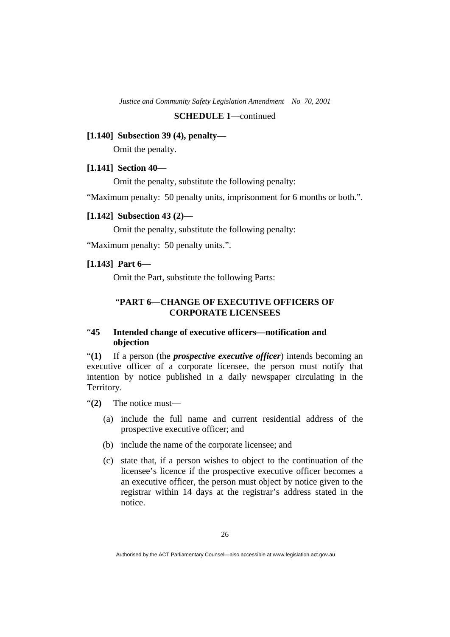### **SCHEDULE 1**—continued

### **[1.140] Subsection 39 (4), penalty—**

Omit the penalty.

### **[1.141] Section 40—**

Omit the penalty, substitute the following penalty:

"Maximum penalty: 50 penalty units, imprisonment for 6 months or both.".

### **[1.142] Subsection 43 (2)—**

Omit the penalty, substitute the following penalty:

"Maximum penalty: 50 penalty units.".

# **[1.143] Part 6—**

Omit the Part, substitute the following Parts:

# "**PART 6—CHANGE OF EXECUTIVE OFFICERS OF CORPORATE LICENSEES**

# "**45 Intended change of executive officers—notification and objection**

"**(1)** If a person (the *prospective executive officer*) intends becoming an executive officer of a corporate licensee, the person must notify that intention by notice published in a daily newspaper circulating in the Territory.

"**(2)** The notice must—

- (a) include the full name and current residential address of the prospective executive officer; and
- (b) include the name of the corporate licensee; and
- (c) state that, if a person wishes to object to the continuation of the licensee's licence if the prospective executive officer becomes a an executive officer, the person must object by notice given to the registrar within 14 days at the registrar's address stated in the notice.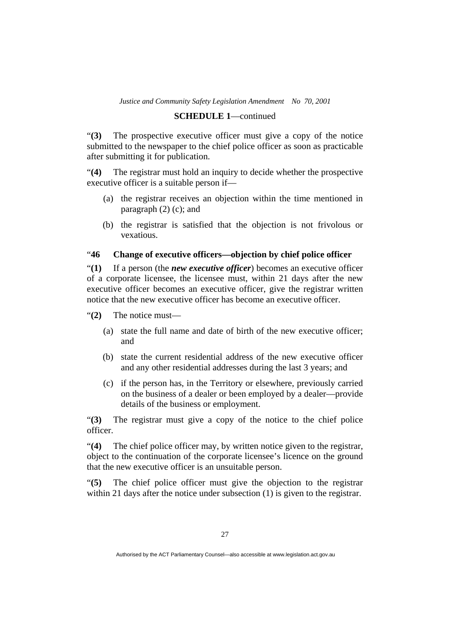### **SCHEDULE 1**—continued

"**(3)** The prospective executive officer must give a copy of the notice submitted to the newspaper to the chief police officer as soon as practicable after submitting it for publication.

"**(4)** The registrar must hold an inquiry to decide whether the prospective executive officer is a suitable person if—

- (a) the registrar receives an objection within the time mentioned in paragraph  $(2)$  (c); and
- (b) the registrar is satisfied that the objection is not frivolous or vexatious.

# "**46 Change of executive officers—objection by chief police officer**

"**(1)** If a person (the *new executive officer*) becomes an executive officer of a corporate licensee, the licensee must, within 21 days after the new executive officer becomes an executive officer, give the registrar written notice that the new executive officer has become an executive officer.

"**(2)** The notice must—

- (a) state the full name and date of birth of the new executive officer; and
- (b) state the current residential address of the new executive officer and any other residential addresses during the last 3 years; and
- (c) if the person has, in the Territory or elsewhere, previously carried on the business of a dealer or been employed by a dealer—provide details of the business or employment.

"**(3)** The registrar must give a copy of the notice to the chief police officer.

"**(4)** The chief police officer may, by written notice given to the registrar, object to the continuation of the corporate licensee's licence on the ground that the new executive officer is an unsuitable person.

"**(5)** The chief police officer must give the objection to the registrar within 21 days after the notice under subsection (1) is given to the registrar.

Authorised by the ACT Parliamentary Counsel—also accessible at www.legislation.act.gov.au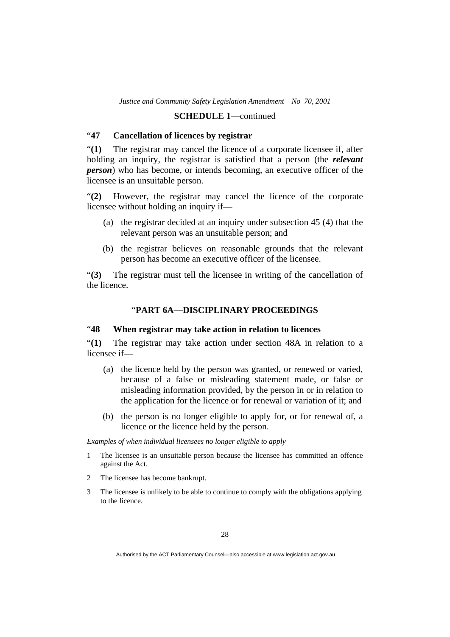# "**47 Cancellation of licences by registrar**

"**(1)** The registrar may cancel the licence of a corporate licensee if, after holding an inquiry, the registrar is satisfied that a person (the *relevant person*) who has become, or intends becoming, an executive officer of the licensee is an unsuitable person.

"**(2)** However, the registrar may cancel the licence of the corporate licensee without holding an inquiry if—

- (a) the registrar decided at an inquiry under subsection 45 (4) that the relevant person was an unsuitable person; and
- (b) the registrar believes on reasonable grounds that the relevant person has become an executive officer of the licensee.

"**(3)** The registrar must tell the licensee in writing of the cancellation of the licence.

# "**PART 6A—DISCIPLINARY PROCEEDINGS**

# "**48 When registrar may take action in relation to licences**

"**(1)** The registrar may take action under section 48A in relation to a licensee if—

- (a) the licence held by the person was granted, or renewed or varied, because of a false or misleading statement made, or false or misleading information provided, by the person in or in relation to the application for the licence or for renewal or variation of it; and
- (b) the person is no longer eligible to apply for, or for renewal of, a licence or the licence held by the person.

*Examples of when individual licensees no longer eligible to apply* 

- 1 The licensee is an unsuitable person because the licensee has committed an offence against the Act.
- 2 The licensee has become bankrupt.
- 3 The licensee is unlikely to be able to continue to comply with the obligations applying to the licence.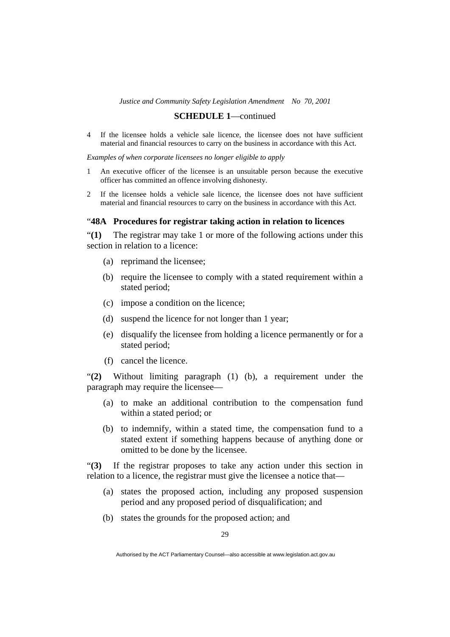### **SCHEDULE 1**—continued

4 If the licensee holds a vehicle sale licence, the licensee does not have sufficient material and financial resources to carry on the business in accordance with this Act.

*Examples of when corporate licensees no longer eligible to apply* 

- 1 An executive officer of the licensee is an unsuitable person because the executive officer has committed an offence involving dishonesty.
- 2 If the licensee holds a vehicle sale licence, the licensee does not have sufficient material and financial resources to carry on the business in accordance with this Act.

### "**48A Procedures for registrar taking action in relation to licences**

"**(1)** The registrar may take 1 or more of the following actions under this section in relation to a licence:

- (a) reprimand the licensee;
- (b) require the licensee to comply with a stated requirement within a stated period;
- (c) impose a condition on the licence;
- (d) suspend the licence for not longer than 1 year;
- (e) disqualify the licensee from holding a licence permanently or for a stated period;
- (f) cancel the licence.

"**(2)** Without limiting paragraph (1) (b), a requirement under the paragraph may require the licensee—

- (a) to make an additional contribution to the compensation fund within a stated period; or
- (b) to indemnify, within a stated time, the compensation fund to a stated extent if something happens because of anything done or omitted to be done by the licensee.

"**(3)** If the registrar proposes to take any action under this section in relation to a licence, the registrar must give the licensee a notice that—

- (a) states the proposed action, including any proposed suspension period and any proposed period of disqualification; and
- (b) states the grounds for the proposed action; and

Authorised by the ACT Parliamentary Counsel—also accessible at www.legislation.act.gov.au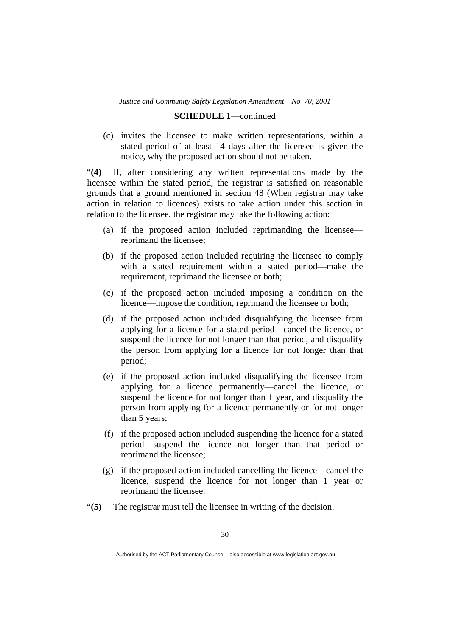### **SCHEDULE 1**—continued

 (c) invites the licensee to make written representations, within a stated period of at least 14 days after the licensee is given the notice, why the proposed action should not be taken.

"**(4)** If, after considering any written representations made by the licensee within the stated period, the registrar is satisfied on reasonable grounds that a ground mentioned in section 48 (When registrar may take action in relation to licences) exists to take action under this section in relation to the licensee, the registrar may take the following action:

- (a) if the proposed action included reprimanding the licensee reprimand the licensee;
- (b) if the proposed action included requiring the licensee to comply with a stated requirement within a stated period—make the requirement, reprimand the licensee or both;
- (c) if the proposed action included imposing a condition on the licence—impose the condition, reprimand the licensee or both;
- (d) if the proposed action included disqualifying the licensee from applying for a licence for a stated period—cancel the licence, or suspend the licence for not longer than that period, and disqualify the person from applying for a licence for not longer than that period;
- (e) if the proposed action included disqualifying the licensee from applying for a licence permanently—cancel the licence, or suspend the licence for not longer than 1 year, and disqualify the person from applying for a licence permanently or for not longer than 5 years;
- (f) if the proposed action included suspending the licence for a stated period—suspend the licence not longer than that period or reprimand the licensee;
- (g) if the proposed action included cancelling the licence—cancel the licence, suspend the licence for not longer than 1 year or reprimand the licensee.
- "**(5)** The registrar must tell the licensee in writing of the decision.

Authorised by the ACT Parliamentary Counsel—also accessible at www.legislation.act.gov.au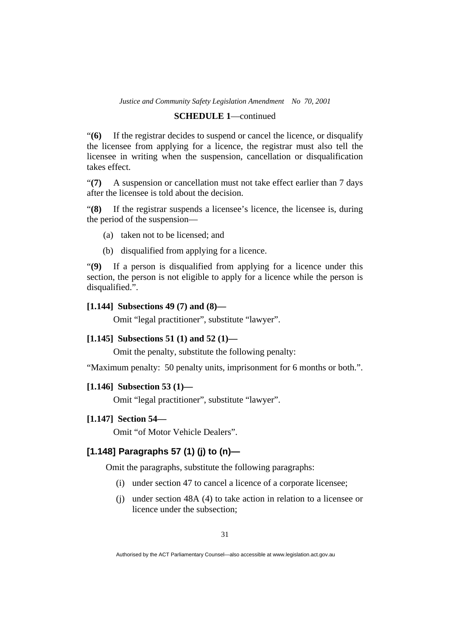#### **SCHEDULE 1**—continued

"**(6)** If the registrar decides to suspend or cancel the licence, or disqualify the licensee from applying for a licence, the registrar must also tell the licensee in writing when the suspension, cancellation or disqualification takes effect.

"**(7)** A suspension or cancellation must not take effect earlier than 7 days after the licensee is told about the decision.

"**(8)** If the registrar suspends a licensee's licence, the licensee is, during the period of the suspension—

- (a) taken not to be licensed; and
- (b) disqualified from applying for a licence.

"**(9)** If a person is disqualified from applying for a licence under this section, the person is not eligible to apply for a licence while the person is disqualified.".

### **[1.144] Subsections 49 (7) and (8)—**

Omit "legal practitioner", substitute "lawyer".

# **[1.145] Subsections 51 (1) and 52 (1)—**

Omit the penalty, substitute the following penalty:

"Maximum penalty: 50 penalty units, imprisonment for 6 months or both.".

#### **[1.146] Subsection 53 (1)—**

Omit "legal practitioner", substitute "lawyer".

# **[1.147] Section 54—**

Omit "of Motor Vehicle Dealers".

# **[1.148] Paragraphs 57 (1) (j) to (n)—**

Omit the paragraphs, substitute the following paragraphs:

- (i) under section 47 to cancel a licence of a corporate licensee;
- (j) under section 48A (4) to take action in relation to a licensee or licence under the subsection;

Authorised by the ACT Parliamentary Counsel—also accessible at www.legislation.act.gov.au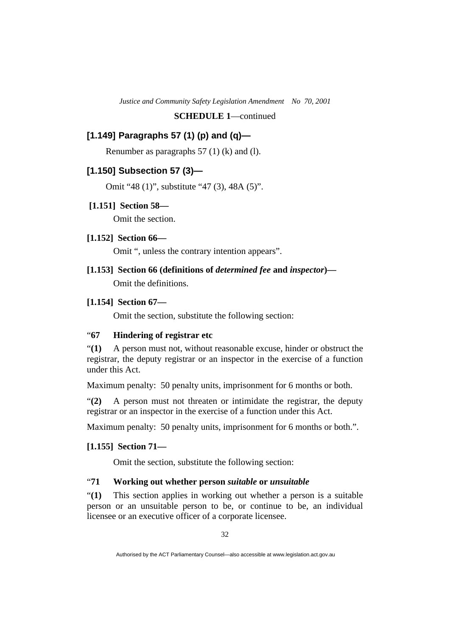# **[1.149] Paragraphs 57 (1) (p) and (q)—**

Renumber as paragraphs 57 (1) (k) and (l).

# **[1.150] Subsection 57 (3)—**

Omit "48 (1)", substitute "47 (3), 48A (5)".

# **[1.151] Section 58—**

Omit the section.

# **[1.152] Section 66—**

Omit ", unless the contrary intention appears".

# **[1.153] Section 66 (definitions of** *determined fee* **and** *inspector***)—**

Omit the definitions.

# **[1.154] Section 67—**

Omit the section, substitute the following section:

# "**67 Hindering of registrar etc**

"**(1)** A person must not, without reasonable excuse, hinder or obstruct the registrar, the deputy registrar or an inspector in the exercise of a function under this Act.

Maximum penalty: 50 penalty units, imprisonment for 6 months or both.

"**(2)** A person must not threaten or intimidate the registrar, the deputy registrar or an inspector in the exercise of a function under this Act.

Maximum penalty: 50 penalty units, imprisonment for 6 months or both.".

### **[1.155] Section 71—**

Omit the section, substitute the following section:

# "**71 Working out whether person** *suitable* **or** *unsuitable*

"**(1)** This section applies in working out whether a person is a suitable person or an unsuitable person to be, or continue to be, an individual licensee or an executive officer of a corporate licensee.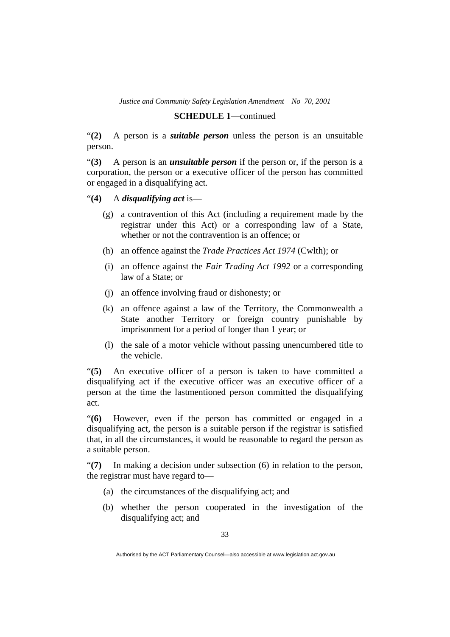### **SCHEDULE 1**—continued

"**(2)** A person is a *suitable person* unless the person is an unsuitable person.

"**(3)** A person is an *unsuitable person* if the person or, if the person is a corporation, the person or a executive officer of the person has committed or engaged in a disqualifying act.

"**(4)** A *disqualifying act* is—

- (g) a contravention of this Act (including a requirement made by the registrar under this Act) or a corresponding law of a State, whether or not the contravention is an offence; or
- (h) an offence against the *Trade Practices Act 1974* (Cwlth); or
- (i) an offence against the *Fair Trading Act 1992* or a corresponding law of a State; or
- (j) an offence involving fraud or dishonesty; or
- (k) an offence against a law of the Territory, the Commonwealth a State another Territory or foreign country punishable by imprisonment for a period of longer than 1 year; or
- (l) the sale of a motor vehicle without passing unencumbered title to the vehicle.

"**(5)** An executive officer of a person is taken to have committed a disqualifying act if the executive officer was an executive officer of a person at the time the lastmentioned person committed the disqualifying act.

"**(6)** However, even if the person has committed or engaged in a disqualifying act, the person is a suitable person if the registrar is satisfied that, in all the circumstances, it would be reasonable to regard the person as a suitable person.

"**(7)** In making a decision under subsection (6) in relation to the person, the registrar must have regard to—

- (a) the circumstances of the disqualifying act; and
- (b) whether the person cooperated in the investigation of the disqualifying act; and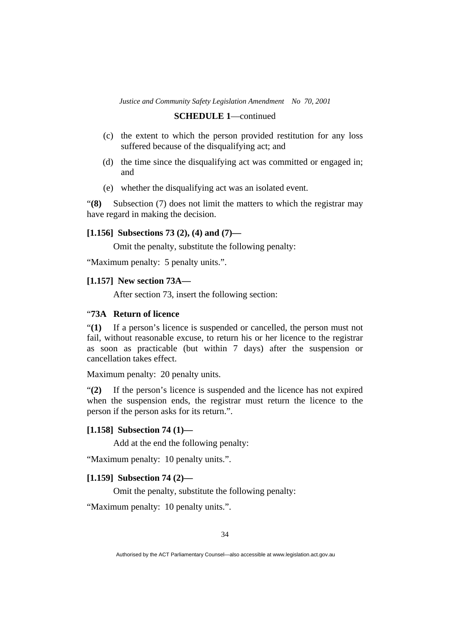### **SCHEDULE 1**—continued

- (c) the extent to which the person provided restitution for any loss suffered because of the disqualifying act; and
- (d) the time since the disqualifying act was committed or engaged in; and
- (e) whether the disqualifying act was an isolated event.

"**(8)** Subsection (7) does not limit the matters to which the registrar may have regard in making the decision.

### **[1.156] Subsections 73 (2), (4) and (7)—**

Omit the penalty, substitute the following penalty:

"Maximum penalty: 5 penalty units.".

### **[1.157] New section 73A—**

After section 73, insert the following section:

# "**73A Return of licence**

"**(1)** If a person's licence is suspended or cancelled, the person must not fail, without reasonable excuse, to return his or her licence to the registrar as soon as practicable (but within 7 days) after the suspension or cancellation takes effect.

Maximum penalty: 20 penalty units.

"**(2)** If the person's licence is suspended and the licence has not expired when the suspension ends, the registrar must return the licence to the person if the person asks for its return.".

### **[1.158] Subsection 74 (1)—**

Add at the end the following penalty:

"Maximum penalty: 10 penalty units.".

### **[1.159] Subsection 74 (2)—**

Omit the penalty, substitute the following penalty:

"Maximum penalty: 10 penalty units.".

Authorised by the ACT Parliamentary Counsel—also accessible at www.legislation.act.gov.au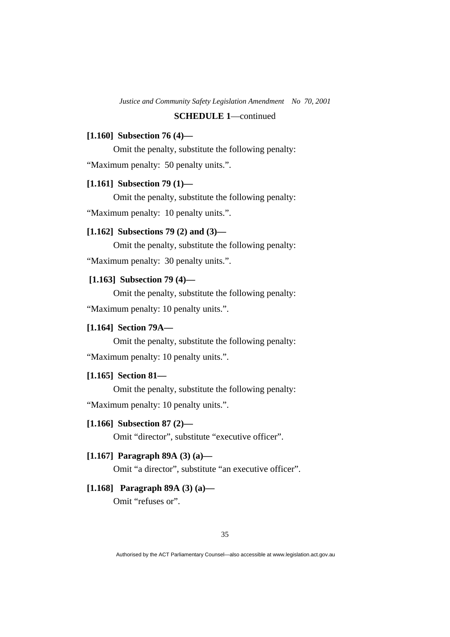### **[1.160] Subsection 76 (4)—**

Omit the penalty, substitute the following penalty:

"Maximum penalty: 50 penalty units.".

# **[1.161] Subsection 79 (1)—**

Omit the penalty, substitute the following penalty:

"Maximum penalty: 10 penalty units.".

# **[1.162] Subsections 79 (2) and (3)—**

Omit the penalty, substitute the following penalty:

"Maximum penalty: 30 penalty units.".

# **[1.163] Subsection 79 (4)—**

 Omit the penalty, substitute the following penalty: "Maximum penalty: 10 penalty units.".

# **[1.164] Section 79A—**

 Omit the penalty, substitute the following penalty: "Maximum penalty: 10 penalty units.".

### **[1.165] Section 81—**

 Omit the penalty, substitute the following penalty: "Maximum penalty: 10 penalty units.".

### **[1.166] Subsection 87 (2)—**

Omit "director", substitute "executive officer".

### **[1.167] Paragraph 89A (3) (a)—**

Omit "a director", substitute "an executive officer".

# **[1.168] Paragraph 89A (3) (a)—**

Omit "refuses or".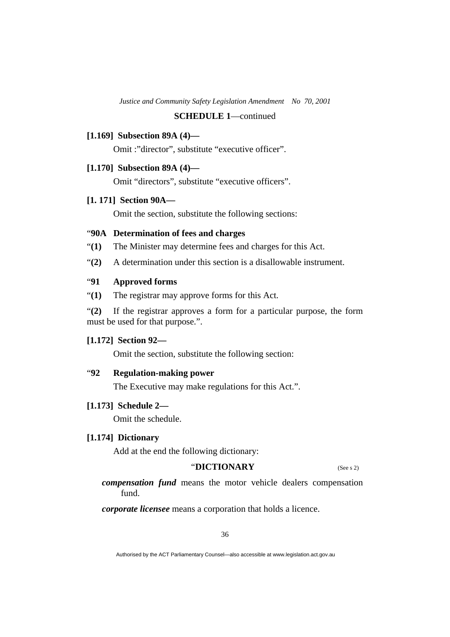### **[1.169] Subsection 89A (4)—**

Omit :"director", substitute "executive officer".

### **[1.170] Subsection 89A (4)—**

Omit "directors", substitute "executive officers".

### **[1. 171] Section 90A—**

Omit the section, substitute the following sections:

### "**90A Determination of fees and charges**

- "**(1)** The Minister may determine fees and charges for this Act.
- "**(2)** A determination under this section is a disallowable instrument.

# "**91 Approved forms**

"**(1)** The registrar may approve forms for this Act.

"**(2)** If the registrar approves a form for a particular purpose, the form must be used for that purpose.".

### **[1.172] Section 92—**

Omit the section, substitute the following section:

# "**92 Regulation-making power**

The Executive may make regulations for this Act.".

### **[1.173] Schedule 2—**

Omit the schedule.

# **[1.174] Dictionary**

Add at the end the following dictionary:

# "**DICTIONARY** (See s 2)

*compensation fund* means the motor vehicle dealers compensation fund.

*corporate licensee* means a corporation that holds a licence.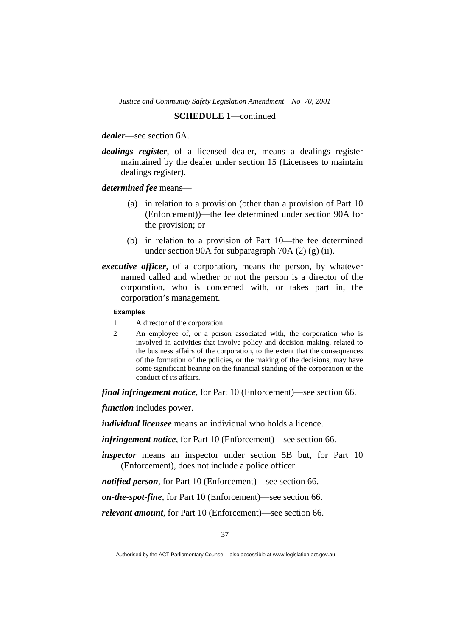### **SCHEDULE 1**—continued

*dealer*—see section 6A.

*dealings register*, of a licensed dealer, means a dealings register maintained by the dealer under section 15 (Licensees to maintain dealings register).

*determined fee* means—

- (a) in relation to a provision (other than a provision of Part 10 (Enforcement))—the fee determined under section 90A for the provision; or
- (b) in relation to a provision of Part 10—the fee determined under section 90A for subparagraph 70A $(2)$  $(g)$  $(ii)$ .
- *executive officer*, of a corporation, means the person, by whatever named called and whether or not the person is a director of the corporation, who is concerned with, or takes part in, the corporation's management.

#### **Examples**

- 1 A director of the corporation
- 2 An employee of, or a person associated with, the corporation who is involved in activities that involve policy and decision making, related to the business affairs of the corporation, to the extent that the consequences of the formation of the policies, or the making of the decisions, may have some significant bearing on the financial standing of the corporation or the conduct of its affairs.

*final infringement notice*, for Part 10 (Enforcement)—see section 66.

*function* includes power.

*individual licensee* means an individual who holds a licence.

*infringement notice*, for Part 10 (Enforcement)—see section 66.

*inspector* means an inspector under section 5B but, for Part 10 (Enforcement), does not include a police officer.

*notified person*, for Part 10 (Enforcement)—see section 66.

*on-the-spot-fine*, for Part 10 (Enforcement)—see section 66.

*relevant amount*, for Part 10 (Enforcement)—see section 66.

Authorised by the ACT Parliamentary Counsel—also accessible at www.legislation.act.gov.au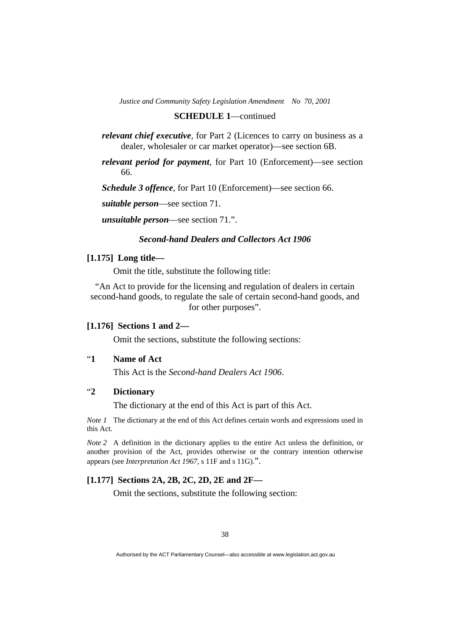### **SCHEDULE 1**—continued

*relevant chief executive*, for Part 2 (Licences to carry on business as a dealer, wholesaler or car market operator)—see section 6B.

*relevant period for payment*, for Part 10 (Enforcement)—see section 66.

*Schedule 3 offence*, for Part 10 (Enforcement)—see section 66.

*suitable person*—see section 71.

*unsuitable person*—see section 71.".

# *Second-hand Dealers and Collectors Act 1906*

### **[1.175] Long title—**

Omit the title, substitute the following title:

"An Act to provide for the licensing and regulation of dealers in certain second-hand goods, to regulate the sale of certain second-hand goods, and for other purposes".

#### **[1.176] Sections 1 and 2—**

Omit the sections, substitute the following sections:

# "**1 Name of Act**

This Act is the *Second-hand Dealers Act 1906*.

# "**2 Dictionary**

The dictionary at the end of this Act is part of this Act.

*Note 1* The dictionary at the end of this Act defines certain words and expressions used in this Act.

*Note 2* A definition in the dictionary applies to the entire Act unless the definition, or another provision of the Act, provides otherwise or the contrary intention otherwise appears (see *Interpretation Act 1967*, s 11F and s 11G).".

# **[1.177] Sections 2A, 2B, 2C, 2D, 2E and 2F—**

Omit the sections, substitute the following section: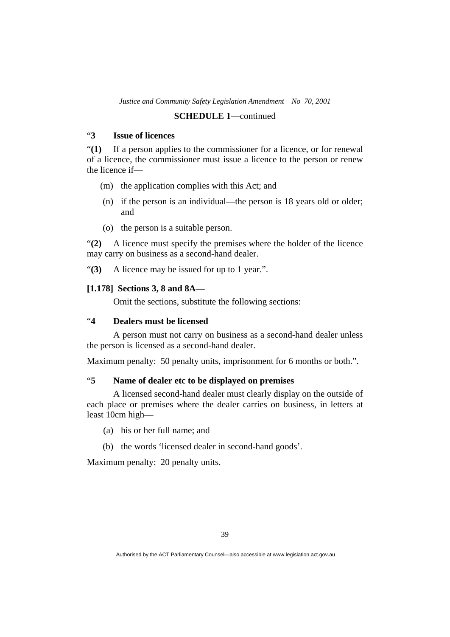### **SCHEDULE 1**—continued

# "**3 Issue of licences**

"**(1)** If a person applies to the commissioner for a licence, or for renewal of a licence, the commissioner must issue a licence to the person or renew the licence if—

- (m) the application complies with this Act; and
- (n) if the person is an individual—the person is 18 years old or older; and
- (o) the person is a suitable person.

"**(2)** A licence must specify the premises where the holder of the licence may carry on business as a second-hand dealer.

"**(3)** A licence may be issued for up to 1 year.".

### **[1.178] Sections 3, 8 and 8A—**

Omit the sections, substitute the following sections:

# "**4 Dealers must be licensed**

 A person must not carry on business as a second-hand dealer unless the person is licensed as a second-hand dealer.

Maximum penalty: 50 penalty units, imprisonment for 6 months or both.".

# "**5 Name of dealer etc to be displayed on premises**

 A licensed second-hand dealer must clearly display on the outside of each place or premises where the dealer carries on business, in letters at least 10cm high—

- (a) his or her full name; and
- (b) the words 'licensed dealer in second-hand goods'.

Maximum penalty: 20 penalty units.

Authorised by the ACT Parliamentary Counsel—also accessible at www.legislation.act.gov.au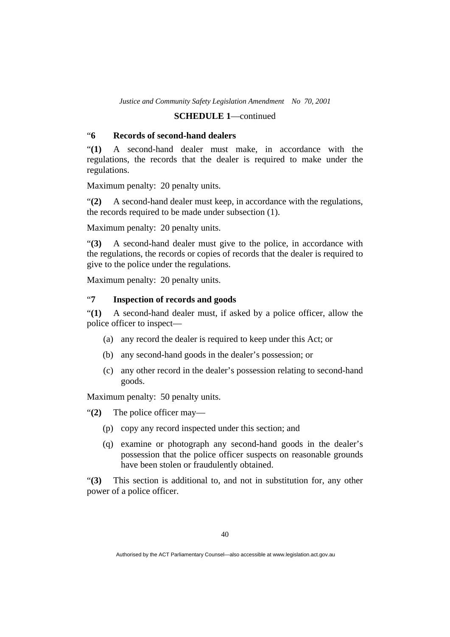### **SCHEDULE 1**—continued

# "**6 Records of second-hand dealers**

"**(1)** A second-hand dealer must make, in accordance with the regulations, the records that the dealer is required to make under the regulations.

Maximum penalty: 20 penalty units.

"**(2)** A second-hand dealer must keep, in accordance with the regulations, the records required to be made under subsection (1).

Maximum penalty: 20 penalty units.

"**(3)** A second-hand dealer must give to the police, in accordance with the regulations, the records or copies of records that the dealer is required to give to the police under the regulations.

Maximum penalty: 20 penalty units.

# "**7 Inspection of records and goods**

"**(1)** A second-hand dealer must, if asked by a police officer, allow the police officer to inspect—

- (a) any record the dealer is required to keep under this Act; or
- (b) any second-hand goods in the dealer's possession; or
- (c) any other record in the dealer's possession relating to second-hand goods.

Maximum penalty: 50 penalty units.

"**(2)** The police officer may—

- (p) copy any record inspected under this section; and
- (q) examine or photograph any second-hand goods in the dealer's possession that the police officer suspects on reasonable grounds have been stolen or fraudulently obtained.

"**(3)** This section is additional to, and not in substitution for, any other power of a police officer.

Authorised by the ACT Parliamentary Counsel—also accessible at www.legislation.act.gov.au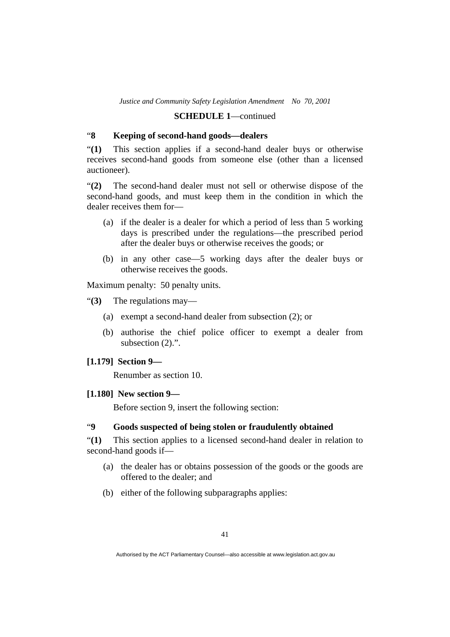### **SCHEDULE 1**—continued

# "**8 Keeping of second-hand goods—dealers**

"**(1)** This section applies if a second-hand dealer buys or otherwise receives second-hand goods from someone else (other than a licensed auctioneer).

"**(2)** The second-hand dealer must not sell or otherwise dispose of the second-hand goods, and must keep them in the condition in which the dealer receives them for—

- (a) if the dealer is a dealer for which a period of less than 5 working days is prescribed under the regulations—the prescribed period after the dealer buys or otherwise receives the goods; or
- (b) in any other case—5 working days after the dealer buys or otherwise receives the goods.

Maximum penalty: 50 penalty units.

"**(3)** The regulations may—

- (a) exempt a second-hand dealer from subsection (2); or
- (b) authorise the chief police officer to exempt a dealer from subsection  $(2)$ .".

# **[1.179] Section 9—**

Renumber as section 10.

# **[1.180] New section 9—**

Before section 9, insert the following section:

# "**9 Goods suspected of being stolen or fraudulently obtained**

"**(1)** This section applies to a licensed second-hand dealer in relation to second-hand goods if—

- (a) the dealer has or obtains possession of the goods or the goods are offered to the dealer; and
- (b) either of the following subparagraphs applies:

Authorised by the ACT Parliamentary Counsel—also accessible at www.legislation.act.gov.au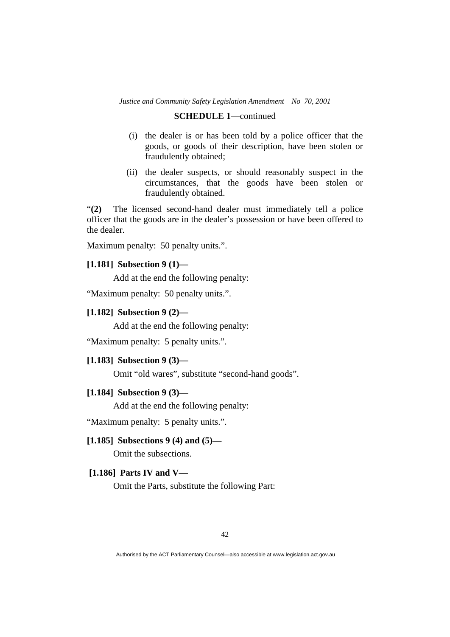# **SCHEDULE 1**—continued

- (i) the dealer is or has been told by a police officer that the goods, or goods of their description, have been stolen or fraudulently obtained;
- (ii) the dealer suspects, or should reasonably suspect in the circumstances, that the goods have been stolen or fraudulently obtained.

"**(2)** The licensed second-hand dealer must immediately tell a police officer that the goods are in the dealer's possession or have been offered to the dealer.

Maximum penalty: 50 penalty units.".

### **[1.181] Subsection 9 (1)—**

Add at the end the following penalty:

"Maximum penalty: 50 penalty units.".

# **[1.182] Subsection 9 (2)—**

Add at the end the following penalty:

"Maximum penalty: 5 penalty units.".

### **[1.183] Subsection 9 (3)—**

Omit "old wares", substitute "second-hand goods".

#### **[1.184] Subsection 9 (3)—**

Add at the end the following penalty:

"Maximum penalty: 5 penalty units.".

### **[1.185] Subsections 9 (4) and (5)—**

Omit the subsections.

### **[1.186] Parts IV and V—**

Omit the Parts, substitute the following Part: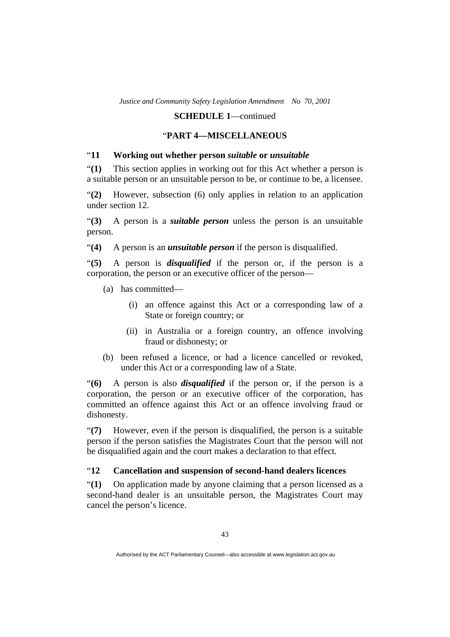# "**PART 4—MISCELLANEOUS**

# "**11 Working out whether person** *suitable* **or** *unsuitable*

"**(1)** This section applies in working out for this Act whether a person is a suitable person or an unsuitable person to be, or continue to be, a licensee.

"**(2)** However, subsection (6) only applies in relation to an application under section 12.

"**(3)** A person is a *suitable person* unless the person is an unsuitable person.

"**(4)** A person is an *unsuitable person* if the person is disqualified.

"**(5)** A person is *disqualified* if the person or, if the person is a corporation, the person or an executive officer of the person—

- (a) has committed—
	- (i) an offence against this Act or a corresponding law of a State or foreign country; or
	- (ii) in Australia or a foreign country, an offence involving fraud or dishonesty; or
- (b) been refused a licence, or had a licence cancelled or revoked, under this Act or a corresponding law of a State.

"**(6)** A person is also *disqualified* if the person or, if the person is a corporation, the person or an executive officer of the corporation, has committed an offence against this Act or an offence involving fraud or dishonesty.

"**(7)** However, even if the person is disqualified, the person is a suitable person if the person satisfies the Magistrates Court that the person will not be disqualified again and the court makes a declaration to that effect.

# "**12 Cancellation and suspension of second-hand dealers licences**

"**(1)** On application made by anyone claiming that a person licensed as a second-hand dealer is an unsuitable person, the Magistrates Court may cancel the person's licence.

Authorised by the ACT Parliamentary Counsel—also accessible at www.legislation.act.gov.au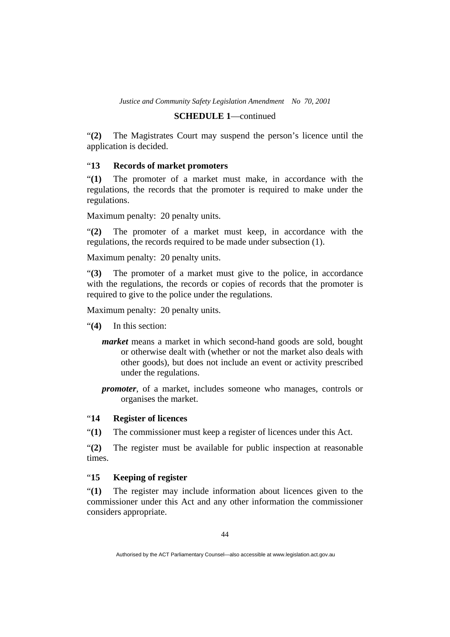### **SCHEDULE 1**—continued

"**(2)** The Magistrates Court may suspend the person's licence until the application is decided.

# "**13 Records of market promoters**

"**(1)** The promoter of a market must make, in accordance with the regulations, the records that the promoter is required to make under the regulations.

Maximum penalty: 20 penalty units.

"**(2)** The promoter of a market must keep, in accordance with the regulations, the records required to be made under subsection (1).

Maximum penalty: 20 penalty units.

"**(3)** The promoter of a market must give to the police, in accordance with the regulations, the records or copies of records that the promoter is required to give to the police under the regulations.

Maximum penalty: 20 penalty units.

- "**(4)** In this section:
	- *market* means a market in which second-hand goods are sold, bought or otherwise dealt with (whether or not the market also deals with other goods), but does not include an event or activity prescribed under the regulations.
	- *promoter*, of a market, includes someone who manages, controls or organises the market.

# "**14 Register of licences**

"**(1)** The commissioner must keep a register of licences under this Act.

"**(2)** The register must be available for public inspection at reasonable times.

# "**15 Keeping of register**

"**(1)** The register may include information about licences given to the commissioner under this Act and any other information the commissioner considers appropriate.

Authorised by the ACT Parliamentary Counsel—also accessible at www.legislation.act.gov.au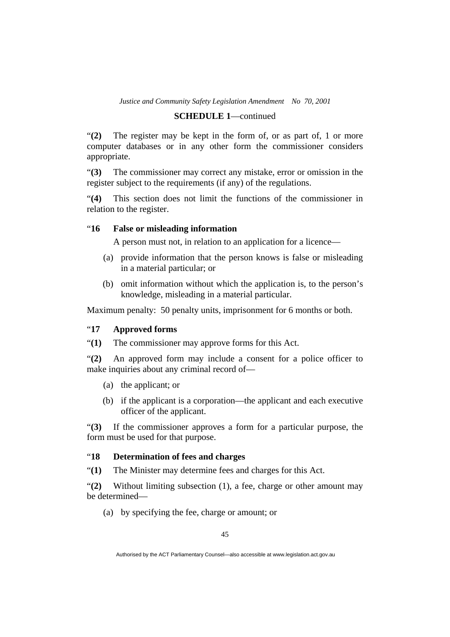# **SCHEDULE 1**—continued

"**(2)** The register may be kept in the form of, or as part of, 1 or more computer databases or in any other form the commissioner considers appropriate.

"**(3)** The commissioner may correct any mistake, error or omission in the register subject to the requirements (if any) of the regulations.

"**(4)** This section does not limit the functions of the commissioner in relation to the register.

# "**16 False or misleading information**

A person must not, in relation to an application for a licence—

- (a) provide information that the person knows is false or misleading in a material particular; or
- (b) omit information without which the application is, to the person's knowledge, misleading in a material particular.

Maximum penalty: 50 penalty units, imprisonment for 6 months or both.

# "**17 Approved forms**

"**(1)** The commissioner may approve forms for this Act.

"**(2)** An approved form may include a consent for a police officer to make inquiries about any criminal record of—

- (a) the applicant; or
- (b) if the applicant is a corporation—the applicant and each executive officer of the applicant.

"**(3)** If the commissioner approves a form for a particular purpose, the form must be used for that purpose.

### "**18 Determination of fees and charges**

"**(1)** The Minister may determine fees and charges for this Act.

"**(2)** Without limiting subsection (1), a fee, charge or other amount may be determined—

(a) by specifying the fee, charge or amount; or

Authorised by the ACT Parliamentary Counsel—also accessible at www.legislation.act.gov.au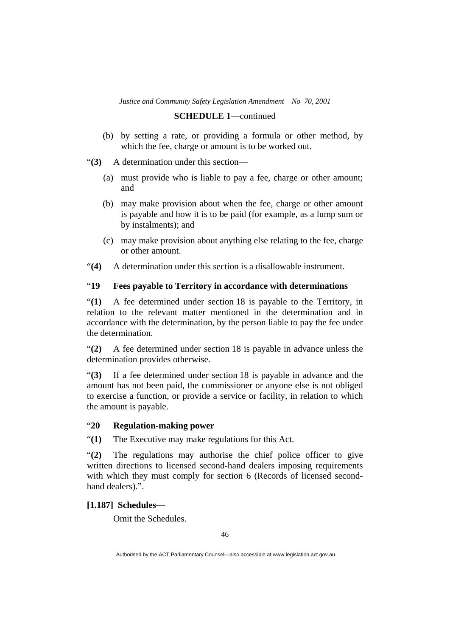### **SCHEDULE 1**—continued

 (b) by setting a rate, or providing a formula or other method, by which the fee, charge or amount is to be worked out.

"**(3)** A determination under this section—

- (a) must provide who is liable to pay a fee, charge or other amount; and
- (b) may make provision about when the fee, charge or other amount is payable and how it is to be paid (for example, as a lump sum or by instalments); and
- (c) may make provision about anything else relating to the fee, charge or other amount.
- "**(4)** A determination under this section is a disallowable instrument.

# "**19 Fees payable to Territory in accordance with determinations**

"**(1)** A fee determined under section 18 is payable to the Territory, in relation to the relevant matter mentioned in the determination and in accordance with the determination, by the person liable to pay the fee under the determination.

"**(2)** A fee determined under section 18 is payable in advance unless the determination provides otherwise.

"**(3)** If a fee determined under section 18 is payable in advance and the amount has not been paid, the commissioner or anyone else is not obliged to exercise a function, or provide a service or facility, in relation to which the amount is payable.

# "**20 Regulation-making power**

"**(1)** The Executive may make regulations for this Act.

"**(2)** The regulations may authorise the chief police officer to give written directions to licensed second-hand dealers imposing requirements with which they must comply for section 6 (Records of licensed secondhand dealers).".

## **[1.187] Schedules—**

Omit the Schedules.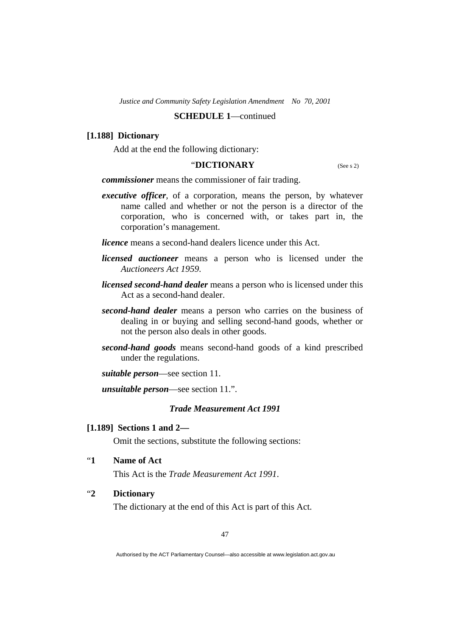### **SCHEDULE 1**—continued

### **[1.188] Dictionary**

Add at the end the following dictionary:

# "**DICTIONARY** (See s 2)

*commissioner* means the commissioner of fair trading.

- *executive officer*, of a corporation, means the person, by whatever name called and whether or not the person is a director of the corporation, who is concerned with, or takes part in, the corporation's management.
- *licence* means a second-hand dealers licence under this Act.
- *licensed auctioneer* means a person who is licensed under the *Auctioneers Act 1959*.
- *licensed second-hand dealer* means a person who is licensed under this Act as a second-hand dealer.
- *second-hand dealer* means a person who carries on the business of dealing in or buying and selling second-hand goods, whether or not the person also deals in other goods.
- *second-hand goods* means second-hand goods of a kind prescribed under the regulations.

*suitable person*—see section 11.

*unsuitable person*—see section 11.".

### *Trade Measurement Act 1991*

### **[1.189] Sections 1 and 2—**

Omit the sections, substitute the following sections:

"**1 Name of Act** 

This Act is the *Trade Measurement Act 1991*.

# "**2 Dictionary**

The dictionary at the end of this Act is part of this Act.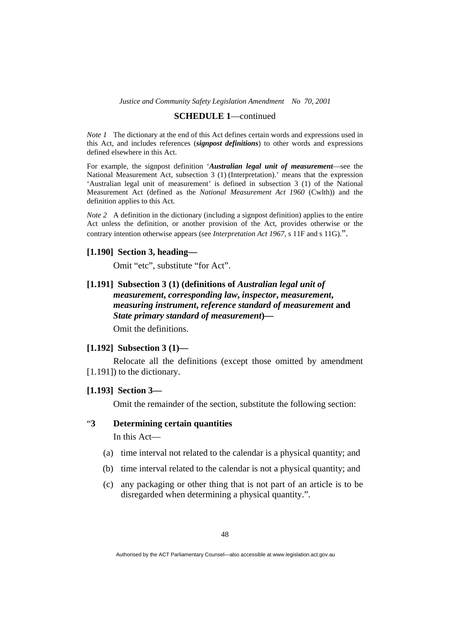#### **SCHEDULE 1**—continued

*Note 1* The dictionary at the end of this Act defines certain words and expressions used in this Act, and includes references (*signpost definitions*) to other words and expressions defined elsewhere in this Act.

For example, the signpost definition '*Australian legal unit of measurement*—see the National Measurement Act, subsection 3 (1) (Interpretation).' means that the expression 'Australian legal unit of measurement' is defined in subsection 3 (1) of the National Measurement Act (defined as the *National Measurement Act 1960* (Cwlth)) and the definition applies to this Act.

*Note 2* A definition in the dictionary (including a signpost definition) applies to the entire Act unless the definition, or another provision of the Act, provides otherwise or the contrary intention otherwise appears (see *Interpretation Act 1967*, s 11F and s 11G).".

### **[1.190] Section 3, heading—**

Omit "etc", substitute "for Act".

# **[1.191] Subsection 3 (1) (definitions of** *Australian legal unit of measurement***,** *corresponding law***,** *inspector***,** *measurement***,**  *measuring instrument***,** *reference standard of measurement* **and**  *State primary standard of measurement***)—**  Omit the definitions.

# **[1.192] Subsection 3 (1)—**

 Relocate all the definitions (except those omitted by amendment [1.191]) to the dictionary.

# **[1.193] Section 3—**

Omit the remainder of the section, substitute the following section:

# "**3 Determining certain quantities**

In this Act—

- (a) time interval not related to the calendar is a physical quantity; and
- (b) time interval related to the calendar is not a physical quantity; and
- (c) any packaging or other thing that is not part of an article is to be disregarded when determining a physical quantity.".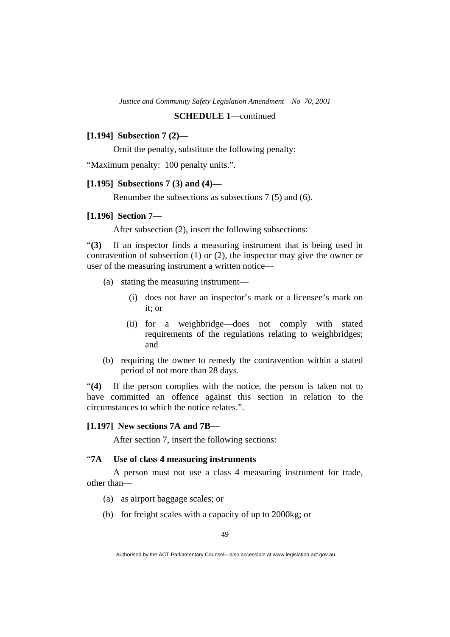# **[1.194] Subsection 7 (2)—**

Omit the penalty, substitute the following penalty:

"Maximum penalty: 100 penalty units.".

#### **[1.195] Subsections 7 (3) and (4)—**

Renumber the subsections as subsections 7 (5) and (6).

#### **[1.196] Section 7—**

After subsection (2), insert the following subsections:

"**(3)** If an inspector finds a measuring instrument that is being used in contravention of subsection (1) or (2), the inspector may give the owner or user of the measuring instrument a written notice—

- (a) stating the measuring instrument—
	- (i) does not have an inspector's mark or a licensee's mark on it; or
	- (ii) for a weighbridge—does not comply with stated requirements of the regulations relating to weighbridges; and
- (b) requiring the owner to remedy the contravention within a stated period of not more than 28 days.

"**(4)** If the person complies with the notice, the person is taken not to have committed an offence against this section in relation to the circumstances to which the notice relates.".

#### **[1.197] New sections 7A and 7B—**

After section 7, insert the following sections:

# "**7A Use of class 4 measuring instruments**

 A person must not use a class 4 measuring instrument for trade, other than—

- (a) as airport baggage scales; or
- (b) for freight scales with a capacity of up to 2000kg; or

Authorised by the ACT Parliamentary Counsel—also accessible at www.legislation.act.gov.au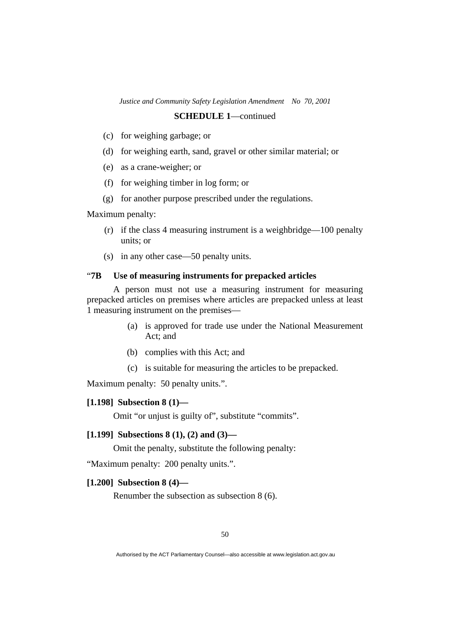- (c) for weighing garbage; or
- (d) for weighing earth, sand, gravel or other similar material; or
- (e) as a crane-weigher; or
- (f) for weighing timber in log form; or
- (g) for another purpose prescribed under the regulations.

### Maximum penalty:

- (r) if the class 4 measuring instrument is a weighbridge—100 penalty units; or
- (s) in any other case—50 penalty units.

### "**7B Use of measuring instruments for prepacked articles**

 A person must not use a measuring instrument for measuring prepacked articles on premises where articles are prepacked unless at least 1 measuring instrument on the premises—

- (a) is approved for trade use under the National Measurement Act; and
- (b) complies with this Act; and
- (c) is suitable for measuring the articles to be prepacked.

Maximum penalty: 50 penalty units.".

# **[1.198] Subsection 8 (1)—**

Omit "or unjust is guilty of", substitute "commits".

# **[1.199] Subsections 8 (1), (2) and (3)—**

Omit the penalty, substitute the following penalty:

"Maximum penalty: 200 penalty units.".

### **[1.200] Subsection 8 (4)—**

Renumber the subsection as subsection 8 (6).

Authorised by the ACT Parliamentary Counsel—also accessible at www.legislation.act.gov.au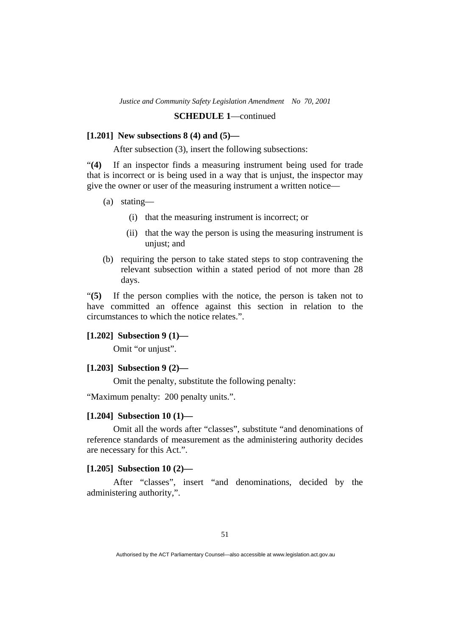### **SCHEDULE 1**—continued

### **[1.201] New subsections 8 (4) and (5)—**

After subsection (3), insert the following subsections:

"**(4)** If an inspector finds a measuring instrument being used for trade that is incorrect or is being used in a way that is unjust, the inspector may give the owner or user of the measuring instrument a written notice—

- (a) stating—
	- (i) that the measuring instrument is incorrect; or
	- (ii) that the way the person is using the measuring instrument is unjust; and
- (b) requiring the person to take stated steps to stop contravening the relevant subsection within a stated period of not more than 28 days.

"**(5)** If the person complies with the notice, the person is taken not to have committed an offence against this section in relation to the circumstances to which the notice relates.".

### **[1.202] Subsection 9 (1)—**

Omit "or unjust".

# **[1.203] Subsection 9 (2)—**

Omit the penalty, substitute the following penalty:

"Maximum penalty: 200 penalty units.".

# **[1.204] Subsection 10 (1)—**

 Omit all the words after "classes", substitute "and denominations of reference standards of measurement as the administering authority decides are necessary for this Act.".

### **[1.205] Subsection 10 (2)—**

 After "classes", insert "and denominations, decided by the administering authority,".

Authorised by the ACT Parliamentary Counsel—also accessible at www.legislation.act.gov.au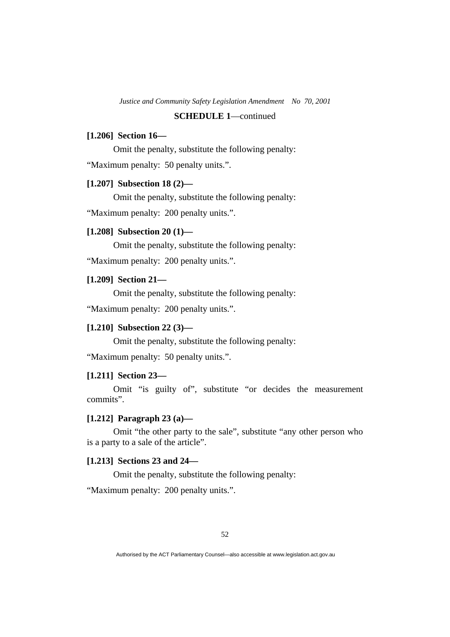### **[1.206] Section 16—**

 Omit the penalty, substitute the following penalty: "Maximum penalty: 50 penalty units.".

### **[1.207] Subsection 18 (2)—**

Omit the penalty, substitute the following penalty:

"Maximum penalty: 200 penalty units.".

# **[1.208] Subsection 20 (1)—**

Omit the penalty, substitute the following penalty:

"Maximum penalty: 200 penalty units.".

# **[1.209] Section 21—**

Omit the penalty, substitute the following penalty:

"Maximum penalty: 200 penalty units.".

# **[1.210] Subsection 22 (3)—**

Omit the penalty, substitute the following penalty:

"Maximum penalty: 50 penalty units.".

#### **[1.211] Section 23—**

 Omit "is guilty of", substitute "or decides the measurement commits".

# **[1.212] Paragraph 23 (a)—**

 Omit "the other party to the sale", substitute "any other person who is a party to a sale of the article".

# **[1.213] Sections 23 and 24—**

Omit the penalty, substitute the following penalty:

"Maximum penalty: 200 penalty units.".

Authorised by the ACT Parliamentary Counsel—also accessible at www.legislation.act.gov.au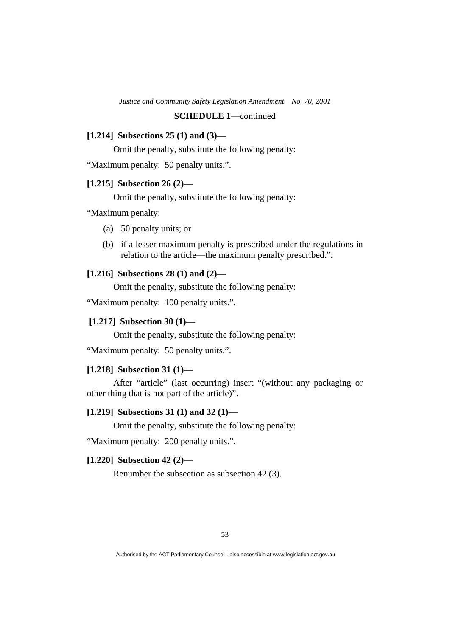# **SCHEDULE 1**—continued

### **[1.214] Subsections 25 (1) and (3)—**

Omit the penalty, substitute the following penalty:

"Maximum penalty: 50 penalty units.".

# **[1.215] Subsection 26 (2)—**

Omit the penalty, substitute the following penalty:

"Maximum penalty:

- (a) 50 penalty units; or
- (b) if a lesser maximum penalty is prescribed under the regulations in relation to the article—the maximum penalty prescribed.".

### **[1.216] Subsections 28 (1) and (2)—**

Omit the penalty, substitute the following penalty:

"Maximum penalty: 100 penalty units.".

# **[1.217] Subsection 30 (1)—**

Omit the penalty, substitute the following penalty:

"Maximum penalty: 50 penalty units.".

# **[1.218] Subsection 31 (1)—**

 After "article" (last occurring) insert "(without any packaging or other thing that is not part of the article)".

### **[1.219] Subsections 31 (1) and 32 (1)—**

Omit the penalty, substitute the following penalty:

"Maximum penalty: 200 penalty units.".

# **[1.220] Subsection 42 (2)—**

Renumber the subsection as subsection 42 (3).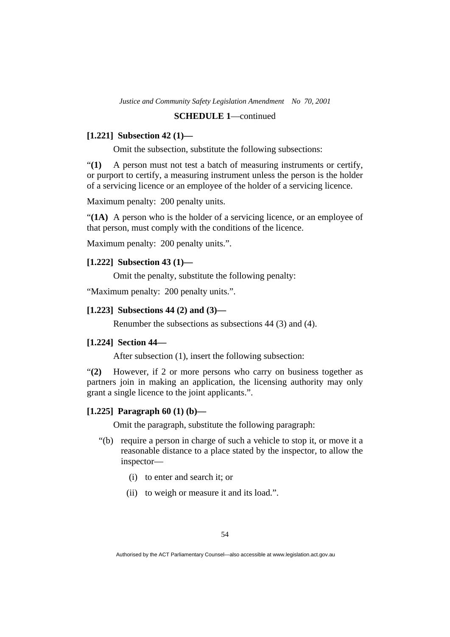### **SCHEDULE 1**—continued

### **[1.221] Subsection 42 (1)—**

Omit the subsection, substitute the following subsections:

"**(1)** A person must not test a batch of measuring instruments or certify, or purport to certify, a measuring instrument unless the person is the holder of a servicing licence or an employee of the holder of a servicing licence.

Maximum penalty: 200 penalty units.

"**(1A)** A person who is the holder of a servicing licence, or an employee of that person, must comply with the conditions of the licence.

Maximum penalty: 200 penalty units.".

# **[1.222] Subsection 43 (1)—**

Omit the penalty, substitute the following penalty:

"Maximum penalty: 200 penalty units.".

#### **[1.223] Subsections 44 (2) and (3)—**

Renumber the subsections as subsections 44 (3) and (4).

#### **[1.224] Section 44—**

After subsection (1), insert the following subsection:

"**(2)** However, if 2 or more persons who carry on business together as partners join in making an application, the licensing authority may only grant a single licence to the joint applicants.".

# **[1.225] Paragraph 60 (1) (b)—**

Omit the paragraph, substitute the following paragraph:

- "(b) require a person in charge of such a vehicle to stop it, or move it a reasonable distance to a place stated by the inspector, to allow the inspector—
	- (i) to enter and search it; or
	- (ii) to weigh or measure it and its load.".

Authorised by the ACT Parliamentary Counsel—also accessible at www.legislation.act.gov.au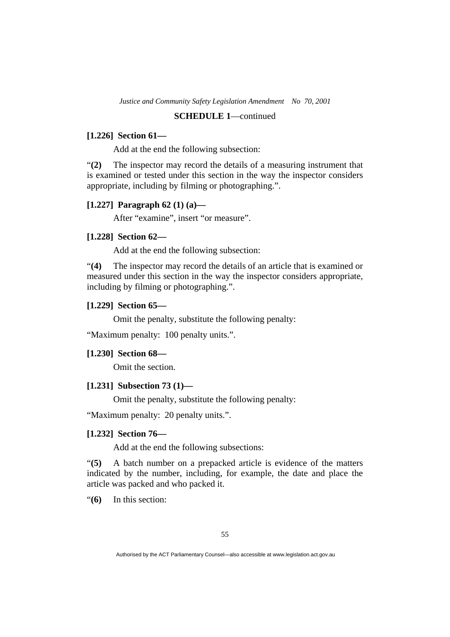### **SCHEDULE 1**—continued

### **[1.226] Section 61—**

Add at the end the following subsection:

"**(2)** The inspector may record the details of a measuring instrument that is examined or tested under this section in the way the inspector considers appropriate, including by filming or photographing.".

# **[1.227] Paragraph 62 (1) (a)—**

After "examine", insert "or measure".

### **[1.228] Section 62—**

Add at the end the following subsection:

"**(4)** The inspector may record the details of an article that is examined or measured under this section in the way the inspector considers appropriate, including by filming or photographing.".

### **[1.229] Section 65—**

Omit the penalty, substitute the following penalty:

"Maximum penalty: 100 penalty units.".

### **[1.230] Section 68—**

Omit the section.

# **[1.231] Subsection 73 (1)—**

Omit the penalty, substitute the following penalty:

"Maximum penalty: 20 penalty units.".

### **[1.232] Section 76—**

Add at the end the following subsections:

"**(5)** A batch number on a prepacked article is evidence of the matters indicated by the number, including, for example, the date and place the article was packed and who packed it.

"**(6)** In this section:

Authorised by the ACT Parliamentary Counsel—also accessible at www.legislation.act.gov.au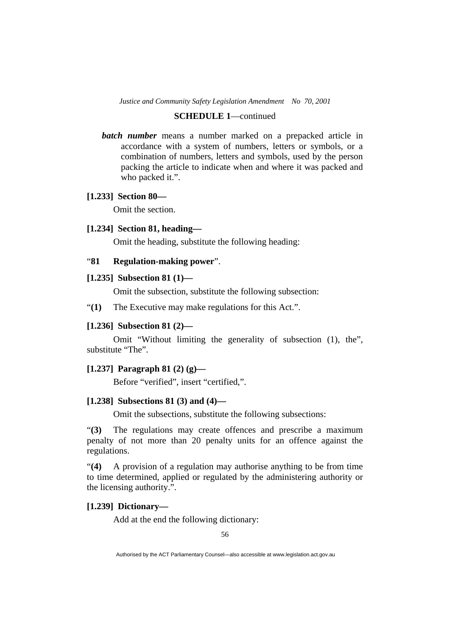### **SCHEDULE 1**—continued

*batch number* means a number marked on a prepacked article in accordance with a system of numbers, letters or symbols, or a combination of numbers, letters and symbols, used by the person packing the article to indicate when and where it was packed and who packed it.".

### **[1.233] Section 80—**

Omit the section.

# **[1.234] Section 81, heading—**

Omit the heading, substitute the following heading:

# "**81 Regulation-making power**".

# **[1.235] Subsection 81 (1)—**

Omit the subsection, substitute the following subsection:

"**(1)** The Executive may make regulations for this Act.".

# **[1.236] Subsection 81 (2)—**

 Omit "Without limiting the generality of subsection (1), the", substitute "The".

### **[1.237] Paragraph 81 (2) (g)—**

Before "verified", insert "certified,".

### **[1.238] Subsections 81 (3) and (4)—**

Omit the subsections, substitute the following subsections:

"**(3)** The regulations may create offences and prescribe a maximum penalty of not more than 20 penalty units for an offence against the regulations.

"**(4)** A provision of a regulation may authorise anything to be from time to time determined, applied or regulated by the administering authority or the licensing authority.".

# **[1.239] Dictionary—**

Add at the end the following dictionary:

Authorised by the ACT Parliamentary Counsel—also accessible at www.legislation.act.gov.au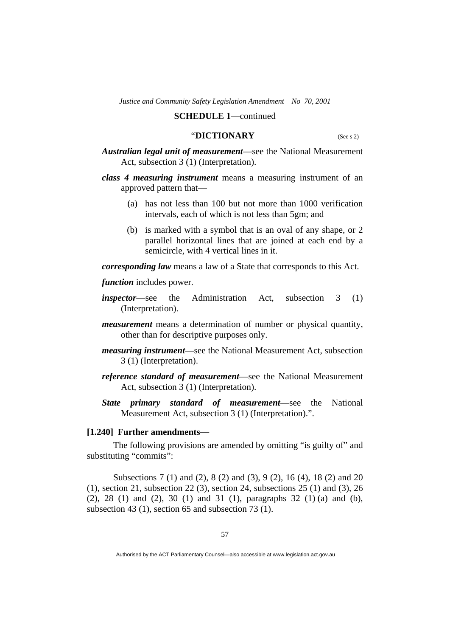### "**DICTIONARY** (See s 2)

*Australian legal unit of measurement*—see the National Measurement Act, subsection 3 (1) (Interpretation).

*class 4 measuring instrument* means a measuring instrument of an approved pattern that—

- (a) has not less than 100 but not more than 1000 verification intervals, each of which is not less than 5gm; and
- (b) is marked with a symbol that is an oval of any shape, or 2 parallel horizontal lines that are joined at each end by a semicircle, with 4 vertical lines in it.

*corresponding law* means a law of a State that corresponds to this Act.

*function* includes power.

- *inspector*—see the Administration Act, subsection 3 (1) (Interpretation).
- *measurement* means a determination of number or physical quantity, other than for descriptive purposes only.
- *measuring instrument*—see the National Measurement Act, subsection 3 (1) (Interpretation).
- *reference standard of measurement*—see the National Measurement Act, subsection 3 (1) (Interpretation).
- *State primary standard of measurement*—see the National Measurement Act, subsection 3 (1) (Interpretation).".

#### **[1.240] Further amendments—**

 The following provisions are amended by omitting "is guilty of" and substituting "commits":

 Subsections 7 (1) and (2), 8 (2) and (3), 9 (2), 16 (4), 18 (2) and 20 (1), section 21, subsection 22 (3), section 24, subsections 25 (1) and (3), 26 (2), 28 (1) and (2), 30 (1) and 31 (1), paragraphs 32 (1) (a) and (b), subsection 43 (1), section 65 and subsection 73 (1).

Authorised by the ACT Parliamentary Counsel—also accessible at www.legislation.act.gov.au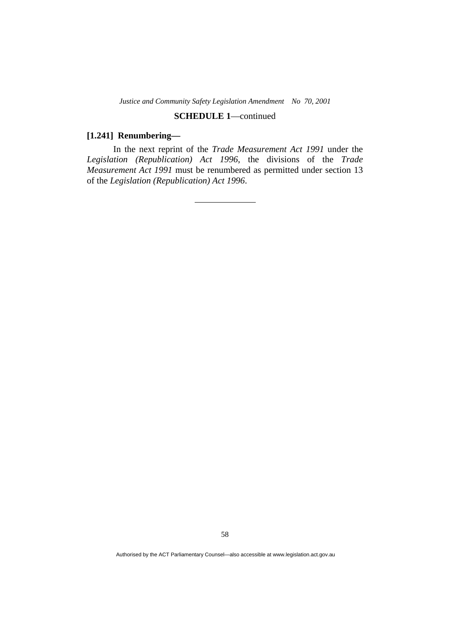# **SCHEDULE 1**—continued

### **[1.241] Renumbering—**

 In the next reprint of the *Trade Measurement Act 1991* under the *Legislation (Republication) Act 1996*, the divisions of the *Trade Measurement Act 1991* must be renumbered as permitted under section 13 of the *Legislation (Republication) Act 1996*.

58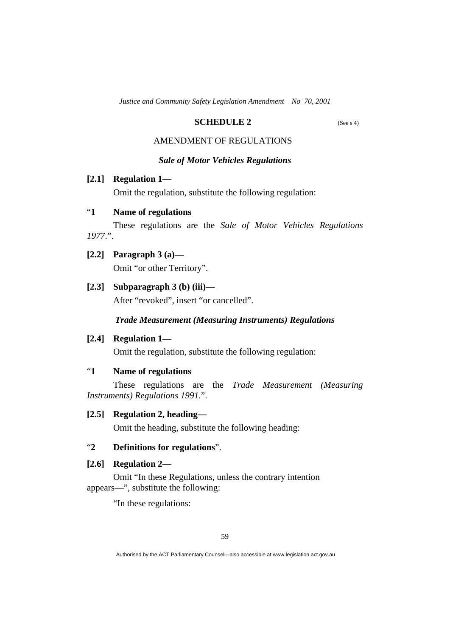# **SCHEDULE 2** (See s 4)

# AMENDMENT OF REGULATIONS

### *Sale of Motor Vehicles Regulations*

# **[2.1] Regulation 1—**

Omit the regulation, substitute the following regulation:

# "**1 Name of regulations**

 These regulations are the *Sale of Motor Vehicles Regulations 1977*.".

- **[2.2] Paragraph 3 (a)—** 
	- Omit "or other Territory".
- **[2.3] Subparagraph 3 (b) (iii)—**

After "revoked", insert "or cancelled".

# *Trade Measurement (Measuring Instruments) Regulations*

 **[2.4] Regulation 1—** 

Omit the regulation, substitute the following regulation:

# "**1 Name of regulations**

 These regulations are the *Trade Measurement (Measuring Instruments) Regulations 1991*.".

### **[2.5] Regulation 2, heading—**

Omit the heading, substitute the following heading:

# "**2 Definitions for regulations**".

# **[2.6] Regulation 2—**

 Omit "In these Regulations, unless the contrary intention appears—", substitute the following:

"In these regulations:

Authorised by the ACT Parliamentary Counsel—also accessible at www.legislation.act.gov.au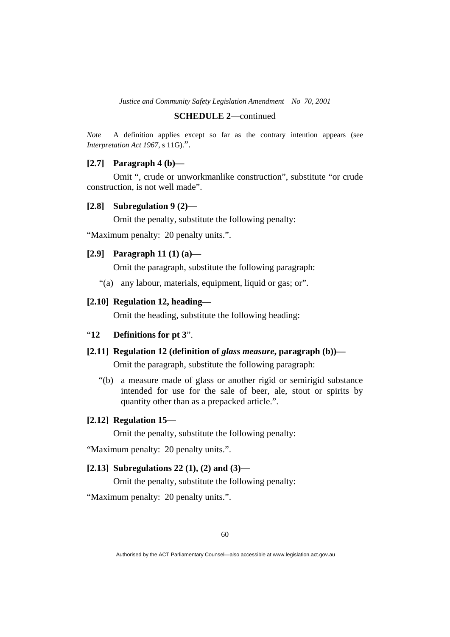### **SCHEDULE 2**—continued

*Note* A definition applies except so far as the contrary intention appears (see *Interpretation Act 1967*, s 11G).".

### **[2.7] Paragraph 4 (b)—**

 Omit ", crude or unworkmanlike construction", substitute "or crude construction, is not well made".

#### **[2.8] Subregulation 9 (2)—**

Omit the penalty, substitute the following penalty:

"Maximum penalty: 20 penalty units.".

# **[2.9] Paragraph 11 (1) (a)—**

Omit the paragraph, substitute the following paragraph:

"(a) any labour, materials, equipment, liquid or gas; or".

### **[2.10] Regulation 12, heading—**

Omit the heading, substitute the following heading:

# "**12 Definitions for pt 3**".

# **[2.11] Regulation 12 (definition of** *glass measure***, paragraph (b))—**

Omit the paragraph, substitute the following paragraph:

 "(b) a measure made of glass or another rigid or semirigid substance intended for use for the sale of beer, ale, stout or spirits by quantity other than as a prepacked article.".

### **[2.12] Regulation 15—**

Omit the penalty, substitute the following penalty:

"Maximum penalty: 20 penalty units.".

# **[2.13] Subregulations 22 (1), (2) and (3)—**

Omit the penalty, substitute the following penalty:

"Maximum penalty: 20 penalty units.".

Authorised by the ACT Parliamentary Counsel—also accessible at www.legislation.act.gov.au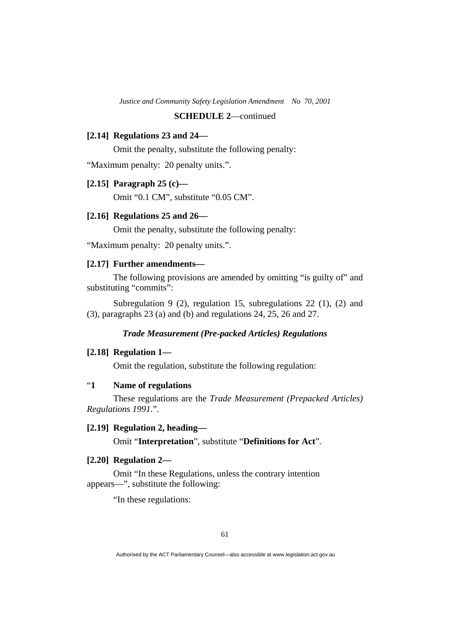# **SCHEDULE 2**—continued

### **[2.14] Regulations 23 and 24—**

Omit the penalty, substitute the following penalty:

"Maximum penalty: 20 penalty units.".

### **[2.15] Paragraph 25 (c)—**

Omit "0.1 CM", substitute "0.05 CM".

### **[2.16] Regulations 25 and 26—**

Omit the penalty, substitute the following penalty:

"Maximum penalty: 20 penalty units.".

# **[2.17] Further amendments—**

The following provisions are amended by omitting "is guilty of" and substituting "commits":

Subregulation 9 (2), regulation 15, subregulations 22 (1), (2) and (3), paragraphs 23 (a) and (b) and regulations 24, 25, 26 and 27.

### *Trade Measurement (Pre-packed Articles) Regulations*

#### **[2.18] Regulation 1—**

Omit the regulation, substitute the following regulation:

# "**1 Name of regulations**

 These regulations are the *Trade Measurement (Prepacked Articles) Regulations 1991*.".

# **[2.19] Regulation 2, heading—**

Omit "**Interpretation**", substitute "**Definitions for Act**".

### **[2.20] Regulation 2—**

 Omit "In these Regulations, unless the contrary intention appears—", substitute the following:

"In these regulations: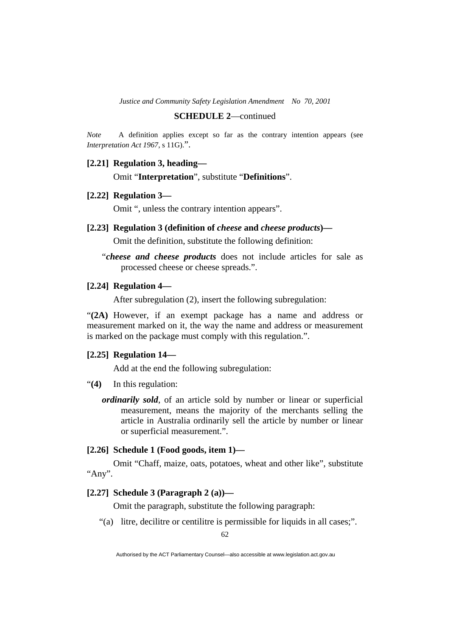#### **SCHEDULE 2**—continued

*Note* A definition applies except so far as the contrary intention appears (see *Interpretation Act 1967*, s 11G).".

### **[2.21] Regulation 3, heading—**

Omit "**Interpretation**", substitute "**Definitions**".

### **[2.22] Regulation 3—**

Omit ", unless the contrary intention appears".

- **[2.23] Regulation 3 (definition of** *cheese* **and** *cheese products***)—**  Omit the definition, substitute the following definition:
	- "*cheese and cheese products* does not include articles for sale as processed cheese or cheese spreads.".

### **[2.24] Regulation 4—**

After subregulation (2), insert the following subregulation:

"**(2A)** However, if an exempt package has a name and address or measurement marked on it, the way the name and address or measurement is marked on the package must comply with this regulation.".

### **[2.25] Regulation 14—**

Add at the end the following subregulation:

- "**(4)** In this regulation:
	- *ordinarily sold*, of an article sold by number or linear or superficial measurement, means the majority of the merchants selling the article in Australia ordinarily sell the article by number or linear or superficial measurement.".

### **[2.26] Schedule 1 (Food goods, item 1)—**

 Omit "Chaff, maize, oats, potatoes, wheat and other like", substitute "Any".

#### **[2.27] Schedule 3 (Paragraph 2 (a))—**

Omit the paragraph, substitute the following paragraph:

"(a) litre, decilitre or centilitre is permissible for liquids in all cases;".

Authorised by the ACT Parliamentary Counsel—also accessible at www.legislation.act.gov.au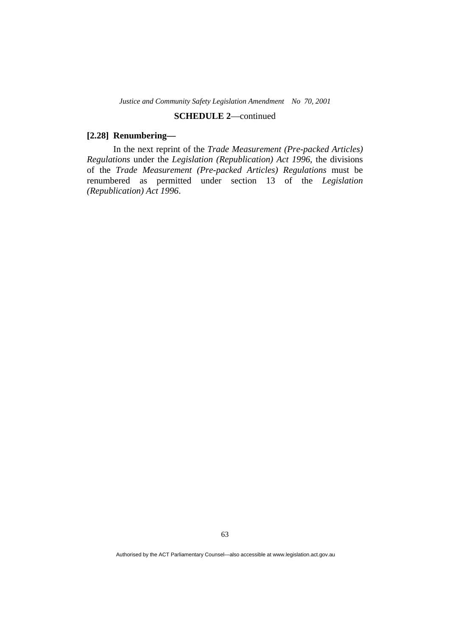# **SCHEDULE 2**—continued

### **[2.28] Renumbering—**

 In the next reprint of the *Trade Measurement (Pre-packed Articles) Regulations* under the *Legislation (Republication) Act 1996*, the divisions of the *Trade Measurement (Pre-packed Articles) Regulations* must be renumbered as permitted under section 13 of the *Legislation (Republication) Act 1996*.